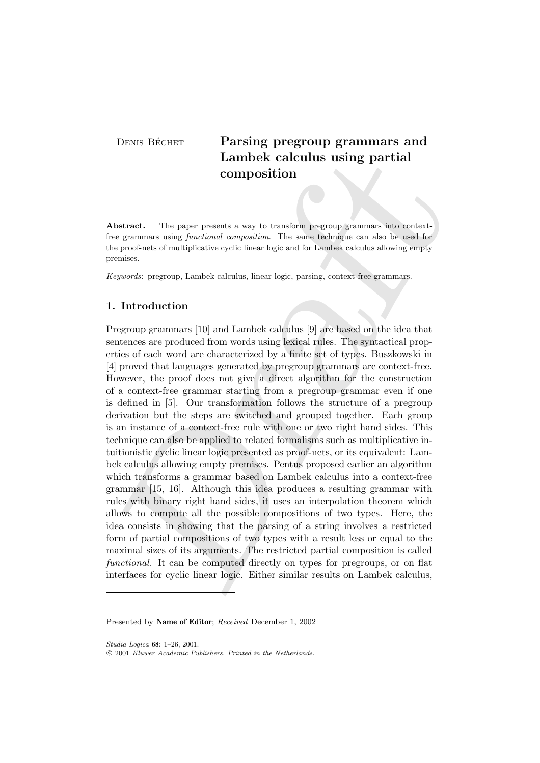# DENIS BÉCHET Parsing pregroup grammars and Lambek calculus using partial composition

Abstract. The paper presents a way to transform pregroup grammars into contextfree grammars using functional composition. The same technique can also be used for the proof-nets of multiplicative cyclic linear logic and for Lambek calculus allowing empty premises.

Keywords: pregroup, Lambek calculus, linear logic, parsing, context-free grammars.

# 1. Introduction

Lambek calculus using partial<br>composition<br>composition<br>composition composition<br>between generals a way to transform progromp grammars into context<br>e grammas using bunching composition. The same terminale can also be used to Pregroup grammars [10] and Lambek calculus [9] are based on the idea that sentences are produced from words using lexical rules. The syntactical properties of each word are characterized by a finite set of types. Buszkowski in [4] proved that languages generated by pregroup grammars are context-free. However, the proof does not give a direct algorithm for the construction of a context-free grammar starting from a pregroup grammar even if one is defined in [5]. Our transformation follows the structure of a pregroup derivation but the steps are switched and grouped together. Each group is an instance of a context-free rule with one or two right hand sides. This technique can also be applied to related formalisms such as multiplicative intuitionistic cyclic linear logic presented as proof-nets, or its equivalent: Lambek calculus allowing empty premises. Pentus proposed earlier an algorithm which transforms a grammar based on Lambek calculus into a context-free grammar [15, 16]. Although this idea produces a resulting grammar with rules with binary right hand sides, it uses an interpolation theorem which allows to compute all the possible compositions of two types. Here, the idea consists in showing that the parsing of a string involves a restricted form of partial compositions of two types with a result less or equal to the maximal sizes of its arguments. The restricted partial composition is called functional. It can be computed directly on types for pregroups, or on flat interfaces for cyclic linear logic. Either similar results on Lambek calculus,

Studia Logica 68: 1–26, 2001.

Presented by Name of Editor; Received December 1, 2002

c 2001 Kluwer Academic Publishers. Printed in the Netherlands.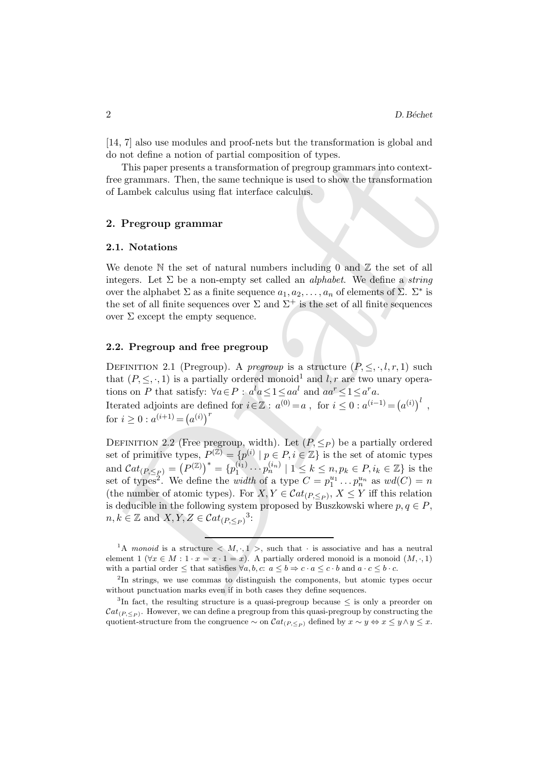[14, 7] also use modules and proof-nets but the transformation is global and do not define a notion of partial composition of types.

This paper presents a transformation of pregroup grammars into contextfree grammars. Then, the same technique is used to show the transformation of Lambek calculus using flat interface calculus.

# 2. Pregroup grammar

#### 2.1. Notations

We denote  $\mathbb N$  the set of natural numbers including 0 and  $\mathbb Z$  the set of all integers. Let  $\Sigma$  be a non-empty set called an *alphabet*. We define a *string* over the alphabet  $\Sigma$  as a finite sequence  $a_1, a_2, \ldots, a_n$  of elements of  $\Sigma$ .  $\Sigma^*$  is the set of all finite sequences over  $\Sigma$  and  $\Sigma^+$  is the set of all finite sequences over  $\Sigma$  except the empty sequence.

#### 2.2. Pregroup and free pregroup

DEFINITION 2.1 (Pregroup). A pregroup is a structure  $(P, \leq, \cdot, l, r, 1)$  such that  $(P, \leq, \cdot, 1)$  is a partially ordered monoid<sup>1</sup> and l, r are two unary operations on P that satisfy:  $\forall a \in P : a^l a \leq 1 \leq a a^l$  and  $aa^r \leq 1 \leq a^r a$ . Iterated adjoints are defined for  $i \in \mathbb{Z}$ :  $a^{(0)} = a$ , for  $i \leq 0$ :  $a^{(i-1)} = (a^{(i)})^l$ , for  $i \geq 0$ :  $a^{(i+1)} = (a^{(i)})^r$ 

o not define a notion of partial composition of types.<br>
This paper presents a transformation of pregroup grammars into context-<br>
ce grammars. Then, the same technique is used to show the transformation<br>
Lambek calculus us DEFINITION 2.2 (Free pregroup, width). Let  $(P, \leq_P)$  be a partially ordered set of primitive types,  $P^{(\mathbb{Z})} = \{p^{(i)} \mid p \in P, i \in \mathbb{Z}\}\$ is the set of atomic types and  $\mathcal{C}at_{(P,\leq_P)}=\big(P^{(\mathbb{Z})}\big)^*=\{p_1^{(\widetilde{i}_1)}\}$  $1 \choose 1 \cdot \cdot \cdot p_n^{(i_n)} \mid 1 \leq k \leq n, p_k \in P, i_k \in \mathbb{Z}$  is the set of types<sup>2</sup>. We define the *width* of a type  $C = p_1^{u_1} \dots p_n^{u_n}$  as  $wd(C) = n$ (the number of atomic types). For  $X, Y \in \mathcal{C}at_{(P, \leq_P)}, X \leq Y$  iff this relation is deducible in the following system proposed by Buszkowski where  $p, q \in P$ ,  $n, k \in \mathbb{Z}$  and  $X, Y, Z \in \mathcal{C}at_{(P, \leq_P)}^3$ :

<sup>&</sup>lt;sup>1</sup>A monoid is a structure  $\langle M, \cdot, 1 \rangle$ , such that  $\cdot$  is associative and has a neutral element 1 ( $\forall x \in M : 1 \cdot x = x \cdot 1 = x$ ). A partially ordered monoid is a monoid  $(M, \cdot, 1)$ with a partial order  $\leq$  that satisfies  $\forall a, b, c: a \leq b \Rightarrow c \cdot a \leq c \cdot b$  and  $a \cdot c \leq b \cdot c$ .

<sup>&</sup>lt;sup>2</sup>In strings, we use commas to distinguish the components, but atomic types occur without punctuation marks even if in both cases they define sequences.

<sup>&</sup>lt;sup>3</sup>In fact, the resulting structure is a quasi-pregroup because  $\leq$  is only a preorder on  $\mathcal{C}at_{(P,\leq_P)}$ . However, we can define a pregroup from this quasi-pregroup by constructing the quotient-structure from the congruence  $\sim$  on  $\mathcal{C}at_{(P,\leq_P)}$  defined by  $x \sim y \Leftrightarrow x \leq y \wedge y \leq x$ .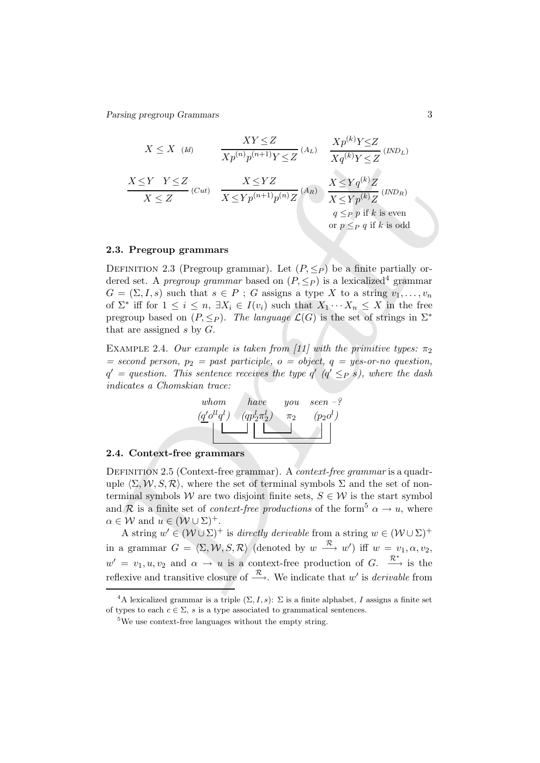Parsing pregroup Grammars 3

$$
X \leq X \tbinom{Id}{H}
$$
\n
$$
\frac{XY \leq Z}{Xp^{(n)}p^{(n+1)}Y \leq Z} \tbinom{X}{L}
$$
\n
$$
\frac{X \leq Y}{Xq^{(k)}Y \leq Z} \tbinom{IND_L}{I}
$$
\n
$$
\frac{X \leq Y}{X \leq Z} \tbinom{IND_R}{I} \tbinom{IND_R}{I} \tbinom{IND_R}{I} \tbinom{IND_R}{I} \tbinom{IND_R}{I} \tbinom{IND_R}{I} \tbinom{IND_R}{I} \tbinom{IND_R}{I} \tbinom{IND_R}{I} \tbinom{IND_R}{I} \tbinom{IND_R}{I} \tbinom{IND_R}{I} \tbinom{IND_R}{I} \tbinom{IND_R}{I} \tbinom{IND_R}{I} \tbinom{IND_R}{I} \tbinom{IND_R}{I} \tbinom{IND_R}{I} \tbinom{IND_R}{I} \tbinom{IND_R}{I} \tbinom{IND_R}{I} \tbinom{IND_R}{I} \tbinom{IND_R}{I} \tbinom{IND_R}{I} \tbinom{IND_R}{I} \tbinom{IND_R}{I} \tbinom{IND_R}{I} \tbinom{IND_R}{I} \tbinom{IND_R}{I} \tbinom{IND_R}{I} \tbinom{IND_R}{I} \tbinom{IND_R}{I} \tbinom{IND_R}{I} \tbinom{IND_R}{I} \tbinom{IND_R}{I} \tbinom{IND_R}{I} \tbinom{IND_R}{I} \tbinom{IND_R}{I} \tbinom{IND_R}{I} \tbinom{IND_R}{I} \tbinom{IND_R}{I} \tbinom{IND_R}{I} \tbinom{IND_R}{I} \tbinom{IND_R}{I} \tbinom{IND_R}{I} \tbinom{IND_R}{I} \tbinom{IND_R}{I} \tbinom{IND_R}{I} \tbinom{IND_R}{I} \tbinom{IND_R}{I} \tbinom{IND_R}{I} \tbinom{IND_R}{I} \tbinom{IND_R}{I} \tbinom{IND_R}{I} \tbinom{IND_R}{I} \tbinom{IND_R}{I} \tbinom{IND_R}{I} \tbinom{IND_R}{I
$$

#### 2.3. Pregroup grammars

DEFINITION 2.3 (Pregroup grammar). Let  $(P, \leq_P)$  be a finite partially ordered set. A *pregroup grammar* based on  $(P, \leq_P)$  is a lexicalized<sup>4</sup> grammar  $G = (\Sigma, I, s)$  such that  $s \in P$ ; G assigns a type X to a string  $v_1, \ldots, v_n$ of  $\Sigma^*$  iff for  $1 \leq i \leq n$ ,  $\exists X_i \in I(v_i)$  such that  $X_1 \cdots X_n \leq X$  in the free pregroup based on  $(P, \leq_P)$ . The language  $\mathcal{L}(G)$  is the set of strings in  $\Sigma^*$ that are assigned s by  $G$ .

EXAMPLE 2.4. Our example is taken from [11] with the primitive types:  $\pi_2$  $= second person, p_2 = past participle, o = object, q = yes-or-no question,$  $q' = question.$  This sentence receives the type  $q'$  ( $q' \leq_P s$ ), where the dash indicates a Chomskian trace:



### 2.4. Context-free grammars

DEFINITION 2.5 (Context-free grammar). A *context-free grammar* is a quadruple  $\langle \Sigma, \mathcal{W}, S, \mathcal{R} \rangle$ , where the set of terminal symbols  $\Sigma$  and the set of nonterminal symbols W are two disjoint finite sets,  $S \in \mathcal{W}$  is the start symbol and R is a finite set of *context-free productions* of the form<sup>5</sup>  $\alpha \rightarrow u$ , where  $\alpha \in \mathcal{W}$  and  $u \in (\mathcal{W} \cup \Sigma)^+$ .

A string  $w' \in (\mathcal{W} \cup \Sigma)^+$  is directly derivable from a string  $w \in (\mathcal{W} \cup \Sigma)^+$ in a grammar  $G = \langle \Sigma, \mathcal{W}, S, \mathcal{R} \rangle$  (denoted by  $w \stackrel{\mathcal{R}}{\longrightarrow} w'$ ) iff  $w = v_1, \alpha, v_2$ ,  $w' = v_1, u, v_2$  and  $\alpha \to u$  is a context-free production of G.  $\stackrel{\mathcal{R}^*}{\longrightarrow}$  is the reflexive and transitive closure of  $\stackrel{\mathcal{R}}{\longrightarrow}$ . We indicate that w' is *derivable* from

<sup>&</sup>lt;sup>4</sup>A lexicalized grammar is a triple  $(\Sigma, I, s)$ :  $\Sigma$  is a finite alphabet, I assigns a finite set of types to each  $c \in \Sigma$ , s is a type associated to grammatical sentences.

<sup>&</sup>lt;sup>5</sup>We use context-free languages without the empty string.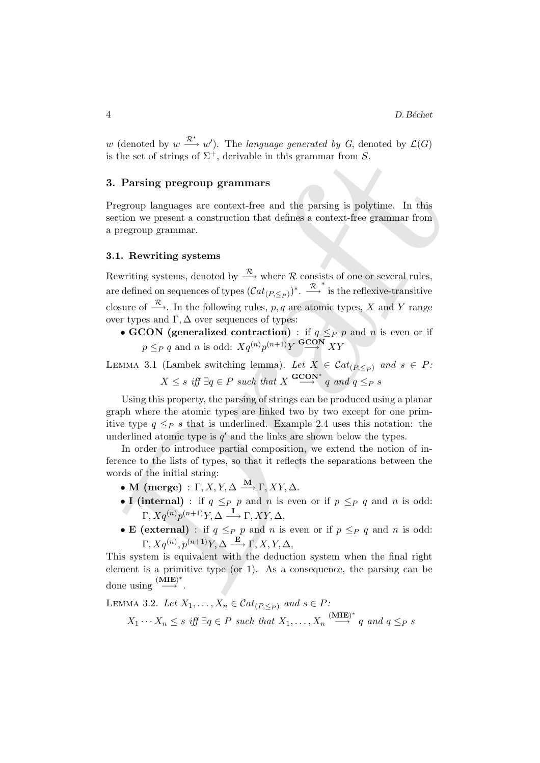w (denoted by  $w \stackrel{\mathcal{R}^*}{\longrightarrow} w'$ ). The language generated by G, denoted by  $\mathcal{L}(G)$ is the set of strings of  $\Sigma^+$ , derivable in this grammar from S.

# 3. Parsing pregroup grammars

Pregroup languages are context-free and the parsing is polytime. In this section we present a construction that defines a context-free grammar from a pregroup grammar.

# 3.1. Rewriting systems

is the set of strings of  $\Sigma^+$ , derivable in this grammar from  $S$ .<br>
Pragma progroup grammars<br>
Pregroup languages are context-free and the parsing is polytime. In this<br>
extent we present a construction that defines a con Rewriting systems, denoted by  $\stackrel{\mathcal{R}}{\longrightarrow}$  where R consists of one or several rules, are defined on sequences of types  $(\mathcal{C}at_{(P,\leq_P)})^*$ .  $\stackrel{\mathcal{R}}{\longrightarrow}^*$  is the reflexive-transitive closure of  $\stackrel{\mathcal{R}}{\longrightarrow}$ . In the following rules, p, q are atomic types, X and Y range over types and  $\Gamma$ ,  $\Delta$  over sequences of types:

• GCON (generalized contraction) : if  $q \leq_P p$  and n is even or if  $p \leq_P q$  and n is odd:  $Xq^{(n)}p^{(n+1)}Y \stackrel{\text{GCON}}{\longrightarrow} XY$ 

LEMMA 3.1 (Lambek switching lemma). Let  $X \in \mathcal{C}at_{(P,\leq_P)}$  and  $s \in P$ :  $X \leq s$  iff  $\exists q \in P$  such that  $X \stackrel{\mathbf{GCON^*}}{\longrightarrow} q$  and  $q \leq_P s$ 

Using this property, the parsing of strings can be produced using a planar graph where the atomic types are linked two by two except for one primitive type  $q \leq_{P} s$  that is underlined. Example 2.4 uses this notation: the underlined atomic type is  $q'$  and the links are shown below the types.

In order to introduce partial composition, we extend the notion of inference to the lists of types, so that it reflects the separations between the words of the initial string:

- M (merge) :  $\Gamma$ , X, Y,  $\Delta \stackrel{\mathbf{M}}{\longrightarrow} \Gamma$ , XY,  $\Delta$ .
- I (internal) : if  $q \leq_P p$  and n is even or if  $p \leq_P q$  and n is odd:  $\Gamma, Xq^{(n)}p^{(n+1)}Y, \Delta \longrightarrow \Gamma, XY, \Delta,$
- **E** (external) : if  $q \leq_P p$  and n is even or if  $p \leq_P q$  and n is odd:  $\Gamma, Xq^{(n)}, p^{(n+1)}Y, \Delta \stackrel{\mathbf{E}}{\longrightarrow} \Gamma, X, Y, \Delta,$

This system is equivalent with the deduction system when the final right element is a primitive type (or 1). As a consequence, the parsing can be done using  $\stackrel{\textbf{(MLE)}^*}{\longrightarrow}$ .

LEMMA 3.2. Let  $X_1, \ldots, X_n \in \mathcal{C}at_{(P,\leq p)}$  and  $s \in P$ :  $X_1 \cdots X_n \leq s$  iff  $\exists q \in P$  such that  $X_1, \ldots, X_n \stackrel{\text{(MLE)}^*}{\longrightarrow} q$  and  $q \leq_P s$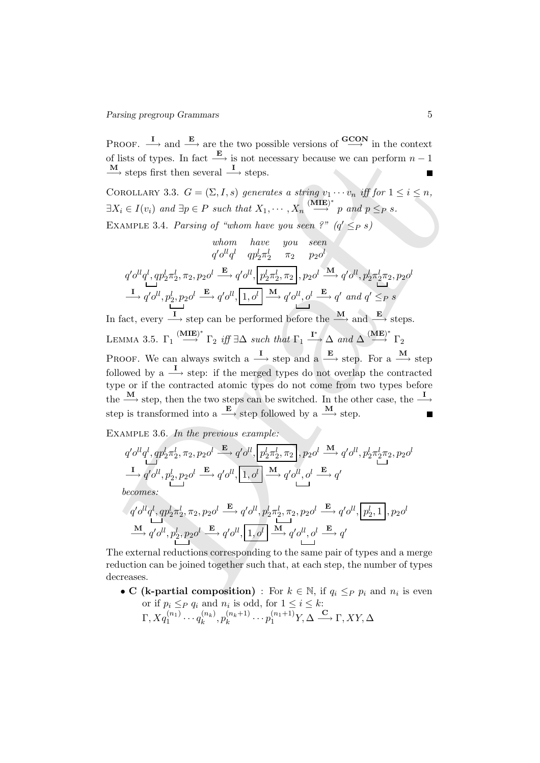PROOF.  $\longrightarrow$  and  $\longrightarrow$  are the two possible versions of  $\longrightarrow^{\text{GCON}}$  in the context of lists of types. In fact  $\xrightarrow{\mathbf{E}}$  is not necessary because we can perform  $n-1$  $\frac{\mathbf{M}}{\longrightarrow}$  steps first then several  $\frac{\mathbf{I}}{\longrightarrow}$  steps.

COROLLARY 3.3.  $G = (\Sigma, I, s)$  generates a string  $v_1 \cdots v_n$  iff for  $1 \leq i \leq n$ ,  $\exists X_i \in I(v_i)$  and  $\exists p \in P$  such that  $X_1, \cdots, X_n \overset{\text{(MLE)}^*}{\longrightarrow} p$  and  $p \leq_P s$ . EXAMPLE 3.4. Parsing of "whom have you seen ?"  $(q' \leq_P s)$ 

$$
\begin{array}{ccc}\n&\text{whom} & \text{have} & \text{you} & \text{seen} \\
&q' o^{ll} q^l & q p_2^l \pi_2^l & \pi_2 & p_2 o^l \\
&q' o^{ll} q^l, q p_2^l \pi_2^l, \pi_2, p_2 o^l \xrightarrow{\mathbf{E}} q' o^{ll}, \boxed{p_2^l \pi_2^l, \pi_2}, p_2 o^l \xrightarrow{\mathbf{M}} q' o^{ll}, p_2^l \pi_2^l \pi_2, p_2 o^l \\
\hline\n\downarrow & \downarrow & \downarrow & \downarrow \\
\hline\n\uparrow & q' o^{ll}, p_2^l, p_2 o^l \xrightarrow{\mathbf{E}} q' o^{ll}, \boxed{1, o^l} \xrightarrow{\mathbf{M}} q' o^{ll}, o^l \xrightarrow{\mathbf{E}} q' \text{ and } q' \leq_P s\n\end{array}
$$

I lists of types. In fact  $\frac{E_1}{\Box}$  is not necessary because we can perform  $n - 1$ <br>  $\frac{M}{2}$  steps first then several  $\frac{1}{\Box}$  steps.<br>
COLOLLARY 33.  $G = [2, 1, 3]$  generates a string  $v_1 \cdots v_n$ , iff  $|v_1| \le i \le n$ ,<br> In fact, every  $\stackrel{\mathbf{I}}{\longrightarrow}$  step can be performed before the  $\stackrel{\mathbf{M}}{\longrightarrow}$  and  $\stackrel{\mathbf{E}}{\longrightarrow}$  steps. LEMMA 3.5.  $\Gamma_1 \stackrel{\textbf{(MLE)}^*}{\longrightarrow} \Gamma_2$  iff  $\exists \Delta$  such that  $\Gamma_1 \stackrel{\textbf{I}^*}{\longrightarrow} \Delta$  and  $\Delta \stackrel{\textbf{(ME)}^*}{\longrightarrow} \Gamma_2$ PROOF. We can always switch a  $\frac{I}{\longrightarrow}$  step and a  $\frac{E}{\longrightarrow}$  step. For a  $\frac{M}{\longrightarrow}$  step followed by a  $\longrightarrow$  step: if the merged types do not overlap the contracted type or if the contracted atomic types do not come from two types before the  $\frac{\mathbf{M}}{\longrightarrow}$  step, then the two steps can be switched. In the other case, the  $\frac{\mathbf{I}}{\longrightarrow}$ step is transformed into a  $\xrightarrow{\mathbf{E}}$  step followed by a  $\xrightarrow{\mathbf{M}}$  step.

EXAMPLE 3.6. In the previous example:

$$
q' o^{ll} q^l, q p_2^l \pi_2^l, \pi_2, p_2 o^l \xrightarrow{\mathbf{E}} q' o^{ll}, \boxed{p_2^l \pi_2^l, \pi_2}, p_2 o^l \xrightarrow{\mathbf{M}} q' o^{ll}, p_2^l \pi_2^l \pi_2, p_2 o^l
$$
  
\n
$$
\xrightarrow{\mathbf{I}} q' o^{ll}, p_2^l, p_2 o^l \xrightarrow{\mathbf{E}} q' o^{ll}, \boxed{1, o^l} \xrightarrow{\mathbf{M}} q' o^{ll}, o^l \xrightarrow{\mathbf{E}} q'
$$
  
\nbecomes:  
\n
$$
q' o^{ll} q^l, q p_2^l \pi_2^l, \pi_2, p_2 o^l \xrightarrow{\mathbf{E}} q' o^{ll}, p_2^l \pi_2^l, \pi_2, p_2 o^l \xrightarrow{\mathbf{E}} q' o^{ll}, \boxed{p_2^l, 1}, p_2 o^l
$$
  
\n
$$
\xrightarrow{\mathbf{M}} q' o^{ll}, p_2^l, p_2 o^l \xrightarrow{\mathbf{E}} q' o^{ll}, \boxed{1, o^l} \xrightarrow{\mathbf{M}} q' o^{ll}, o^l \xrightarrow{\mathbf{E}} q'
$$

The external reductions corresponding to the same pair of types and a merge reduction can be joined together such that, at each step, the number of types decreases.

• C (k-partial composition) : For  $k \in \mathbb{N}$ , if  $q_i \leq_P p_i$  and  $n_i$  is even or if  $p_i \leq_P q_i$  and  $n_i$  is odd, for  $1 \leq i \leq k$ :  $\Gamma, X q_1^{(n_1)} \cdots q_k^{(n_k)}$  $\binom{n_k}{k}, p_k^{(n_k+1)}$  $k_k^{(n_k+1)} \cdots p_1^{(n_1+1)} Y, \Delta \stackrel{\mathbf{C}}{\longrightarrow} \Gamma, XY, \Delta$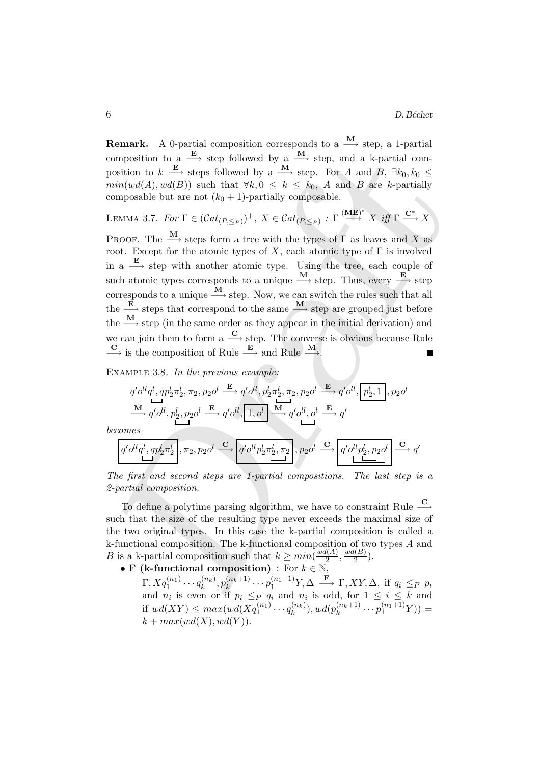**Remark.** A 0-partial composition corresponds to a  $\stackrel{M}{\longrightarrow}$  step, a 1-partial composition to a  $\xrightarrow{\mathbf{E}}$  step followed by a  $\xrightarrow{\mathbf{M}}$  step, and a k-partial composition to  $k \stackrel{\mathbf{E}}{\longrightarrow}$  steps followed by a  $\stackrel{\mathbf{M}}{\longrightarrow}$  step. For A and B,  $\exists k_0, k_0 \leq$  $min(wd(A), wd(B))$  such that  $\forall k, 0 \leq k \leq k_0$ , A and B are k-partially composable but are not  $(k_0 + 1)$ -partially composable.

LEMMA 3.7. For 
$$
\Gamma \in (Cat_{(P, \leq_P)})^+
$$
,  $X \in Cat_{(P, \leq_P)}$ :  $\Gamma \xrightarrow{\text{(ME)}^*} X$  iff  $\Gamma \xrightarrow{\mathbf{C}^*} X$ 

omposition to a  $\mathbb{E}_n$  step followed by a  $\mathbb{M}_n$ , step, and a k-partial com-<br>
sosition to  $k = \mathbb{E}_n$  step followed by a  $\mathbb{M}_n$  step, and a k-partial com-<br>
sing  $\text{Var}(d(A), \text{well}(B))$  such that  $\forall k, 0 \le k \le k_0$ . A and PROOF. The  $\stackrel{\mathbf{M}}{\longrightarrow}$  steps form a tree with the types of  $\Gamma$  as leaves and X as root. Except for the atomic types of X, each atomic type of  $\Gamma$  is involved in a  $\stackrel{\mathbf{E}}{\longrightarrow}$  step with another atomic type. Using the tree, each couple of such atomic types corresponds to a unique  $\frac{M}{\rightarrow}$  step. Thus, every  $\frac{E}{\rightarrow}$  step corresponds to a unique  $\frac{M}{\longrightarrow}$  step. Now, we can switch the rules such that all the  $\frac{\mathbf{E}}{\mathbf{A}}$  steps that correspond to the same  $\frac{\mathbf{M}}{\mathbf{A}}$  step are grouped just before the  $\frac{M}{\longrightarrow}$  step (in the same order as they appear in the initial derivation) and we can join them to form a  $\stackrel{\mathbf{C}}{\longrightarrow}$  step. The converse is obvious because Rule  $\frac{\mathbf{C}}{\longrightarrow}$  is the composition of Rule  $\frac{\mathbf{E}}{\longrightarrow}$  and Rule  $\frac{\mathbf{M}}{\longrightarrow}$ .

EXAMPLE 3.8. In the previous example:

$$
\begin{split} & q' o^{ll} q^l, q p_2^l \pi_2^l, \pi_2, p_2 o^l \stackrel{\mathbf{E}}{\longrightarrow} q' o^{ll}, p_2^l \pi_2^l, \pi_2, p_2 o^l \stackrel{\mathbf{E}}{\longrightarrow} q' o^{ll}, \boxed{p_2^l,1}, p_2 o^l \\ & \xrightarrow{\mathbf{M}} q' o^{ll}, p_2^l, p_2 o^l \stackrel{\mathbf{E}}{\longrightarrow} q' o^{ll}, \boxed{1,o^l} \stackrel{\mathbf{M}}{\longrightarrow} q' o^{ll}, o^l \stackrel{\mathbf{E}}{\longrightarrow} q' \end{split}
$$

becomes

$$
\boxed{q' o^{ll} q^l, q p_2^l \pi_2^l \atop \rule{0mm}{0mm}\right., \pi_2, p_2 o^l \xrightarrow{\mathbf{C}} \boxed{q' o^{ll} p_2^l \pi_2^l, \pi_2}, p_2 o^l \xrightarrow{\mathbf{C}} \boxed{q' o^{ll} p_2^l, p_2 o^l \atop \rule{0mm}{0mm}\right.} \xrightarrow{\mathbf{C}} q'}
$$

The first and second steps are 1-partial compositions. The last step is a 2-partial composition.

To define a polytime parsing algorithm, we have to constraint Rule  $\frac{\mathbf{C}}{\longrightarrow}$ such that the size of the resulting type never exceeds the maximal size of the two original types. In this case the k-partial composition is called a k-functional composition. The k-functional composition of two types A and B is a k-partial composition such that  $k \ge min(\frac{wd(A)}{2})$  $\frac{l(A)}{2}, \frac{wd(B)}{2}$  $\frac{(D)}{2}$ ).

• F (k-functional composition) : For  $k \in \mathbb{N}$ ,

 $\Gamma, X q_1^{(n_1)} \cdots q_k^{(n_k)}$  $\binom{n_k}{k}, p_k^{(n_k+1)}$  $k^{(n_k+1)} \cdots p_1^{(n_1+1)} Y, \Delta \stackrel{\mathbf{F}}{\longrightarrow} \Gamma, XY, \Delta, \text{ if } q_i \leq_P p_i$ and  $n_i$  is even or if  $p_i \leq_P q_i$  and  $n_i$  is odd, for  $1 \leq i \leq k$  and if  $wd(XY) \leq max(wd(Xq_1^{(n_1)} \cdots q_k^{(n_k)})$  $\binom{n_k}{k}$ ,  $wd(p_k^{(n_k+1)})$  $\binom{n_k+1}{k} \cdots p_1^{(n_1+1)} Y$ ) =  $k + max(wd(X), wd(Y)).$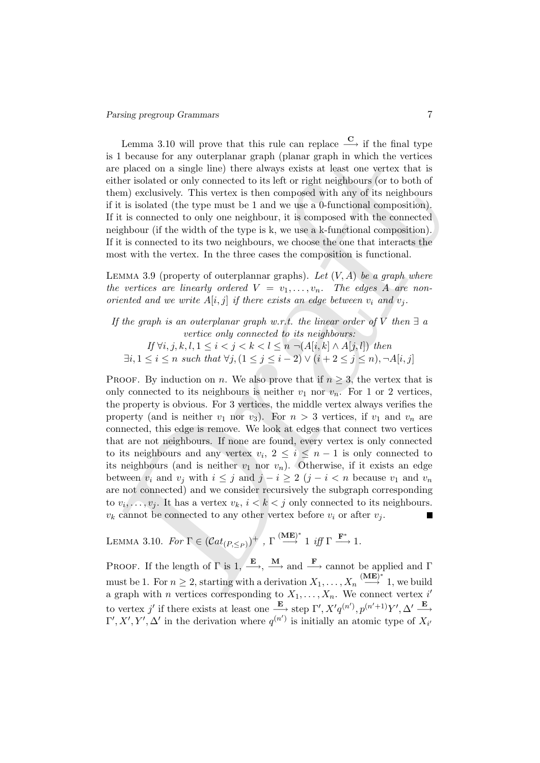Lemma 3.10 will prove that this rule can replace  $\stackrel{\mathbf{C}}{\longrightarrow}$  if the final type is 1 because for any outerplanar graph (planar graph in which the vertices are placed on a single line) there always exists at least one vertex that is either isolated or only connected to its left or right neighbours (or to both of them) exclusively. This vertex is then composed with any of its neighbours if it is isolated (the type must be 1 and we use a 0-functional composition). If it is connected to only one neighbour, it is composed with the connected neighbour (if the width of the type is k, we use a k-functional composition). If it is connected to its two neighbours, we choose the one that interacts the most with the vertex. In the three cases the composition is functional.

LEMMA 3.9 (property of outerplannar graphs). Let  $(V, A)$  be a graph where the vertices are linearly ordered  $V = v_1, \ldots, v_n$ . The edges A are nonoriented and we write  $A[i, j]$  if there exists an edge between  $v_i$  and  $v_j$ .

If the graph is an outerplanar graph w.r.t. the linear order of V then  $\exists a$ vertice only connected to its neighbours:

If  $\forall i, j, k, l, 1 \leq i < j < k < l \leq n$  ¬(A[i, k] ∧ A[j, l]) then  $\exists i, 1 \leq i \leq n \text{ such that } \forall j, (1 \leq j \leq i-2) \vee (i+2 \leq j \leq n), \neg A[i, j]$ 

1 because for any outer<br>plane graph in which the vertices is neither peak on a single line) there are<br>ways exists at least one vertex that is their isolated or only connected to its left or right neighbours (or to both of PROOF. By induction on n. We also prove that if  $n \geq 3$ , the vertex that is only connected to its neighbours is neither  $v_1$  nor  $v_n$ . For 1 or 2 vertices, the property is obvious. For 3 vertices, the middle vertex always verifies the property (and is neither  $v_1$  nor  $v_3$ ). For  $n > 3$  vertices, if  $v_1$  and  $v_n$  are connected, this edge is remove. We look at edges that connect two vertices that are not neighbours. If none are found, every vertex is only connected to its neighbours and any vertex  $v_i, 2 \leq i \leq n-1$  is only connected to its neighbours (and is neither  $v_1$  nor  $v_n$ ). Otherwise, if it exists an edge between  $v_i$  and  $v_j$  with  $i \leq j$  and  $j - i \geq 2$   $(j - i < n$  because  $v_1$  and  $v_n$ are not connected) and we consider recursively the subgraph corresponding to  $v_i, \ldots, v_j$ . It has a vertex  $v_k, i < k < j$  only connected to its neighbours.  $v_k$  cannot be connected to any other vertex before  $v_i$  or after  $v_j$ .

LEMMA 3.10. For  $\Gamma \in (Cat_{(P, \leq_P)})^+$ ,  $\Gamma \stackrel{\textbf{(ME})^*}{\longrightarrow} 1$  iff  $\Gamma \stackrel{\textbf{F}^*}{\longrightarrow} 1$ .

PROOF. If the length of  $\Gamma$  is  $1, \stackrel{\mathbf{E}}{\longrightarrow}, \stackrel{\mathbf{M}}{\longrightarrow}$  and  $\stackrel{\mathbf{F}}{\longrightarrow}$  cannot be applied and  $\Gamma$ must be 1. For  $n \geq 2$ , starting with a derivation  $X_1, \ldots, X_n \stackrel{(\mathbf{ME})^*}{\longrightarrow} 1$ , we build a graph with *n* vertices corresponding to  $X_1, \ldots, X_n$ . We connect vertex i' to vertex j' if there exists at least one  $\xrightarrow{\mathbf{E}}$  step  $\Gamma', X'q^{(n')}, p^{(n'+1)}Y', \Delta' \xrightarrow{\mathbf{E}}$  $\Gamma', X', Y', \Delta'$  in the derivation where  $q^{(n')}$  is initially an atomic type of  $X_{i'}$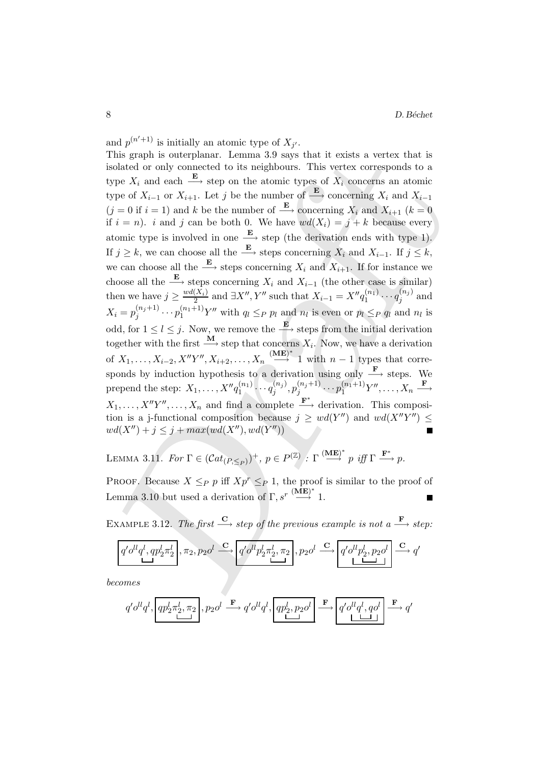This graph is otterplane. Lemma 3.9 says that it exists a vertex that is<br>cointed or only connected to its neighbours. This vertex corresponds to a<br>ppe  $X_i$  and each  $\frac{E}{F}$  step on the atomic rypes of  $X_i$  concerns an a and  $p^{(n'+1)}$  is initially an atomic type of  $X_{j'}$ . This graph is outerplanar. Lemma 3.9 says that it exists a vertex that is isolated or only connected to its neighbours. This vertex corresponds to a type  $X_i$  and each  $\xrightarrow{\mathbf{E}}$  step on the atomic types of  $\overline{X}_i$  concerns an atomic type of  $X_{i-1}$  or  $X_{i+1}$ . Let j be the number of  $\xrightarrow{\mathbf{E}}$  concerning  $X_i$  and  $X_{i-1}$  $(j = 0$  if  $i = 1$ ) and k be the number of  $\stackrel{\mathbf{E}}{\longrightarrow}$  concerning  $X_i$  and  $X_{i+1}$   $(k = 0)$ if  $i = n$ ). i and j can be both 0. We have  $wd(X_i) = j + k$  because every atomic type is involved in one  $\xrightarrow{\mathbf{E}}$  step (the derivation ends with type 1). If  $j \geq k$ , we can choose all the  $\xrightarrow{\mathbf{E}}$  steps concerning  $X_i$  and  $X_{i-1}$ . If  $j \leq k$ , we can choose all the  $\xrightarrow{\mathbf{E}}$  steps concerning  $X_i$  and  $X_{i+1}$ . If for instance we choose all the  $\xrightarrow{\mathbf{E}}$  steps concerning  $X_i$  and  $X_{i-1}$  (the other case is similar) then we have  $j \geq \frac{wd(X_i)}{2}$  $\frac{(X_i)}{2}$  and  $\exists X'', Y''$  such that  $X_{i-1} = X''q_1^{(n_1)}$  $\mathcal{q}_1^{(n_1)}\cdots \mathcal{q}_j^{(n_j)}$  $j^{(n_j)}$  and  $X_i = p_i^{(n_j+1)}$  $j_j^{(n_j+1)} \cdots p_1^{(n_1+1)} Y''$  with  $q_l \leq_P p_l$  and  $n_l$  is even or  $p_l \leq_P q_l$  and  $n_l$  is odd, for  $1 \leq l \leq j$ . Now, we remove the  $\xrightarrow{\mathbf{E}}$  steps from the initial derivation together with the first  $\stackrel{\mathbf{M}}{\longrightarrow}$  step that concerns  $X_i$ . Now, we have a derivation of  $X_1, \ldots, X_{i-2}, X''Y'', X_{i+2}, \ldots, X_n \stackrel{\text{(ME)}^*}{\longrightarrow} 1$  with  $n-1$  types that corresponds by induction hypothesis to a derivation using only  $\xrightarrow{\mathbf{F}}$  steps. We prepend the step:  $X_1, \ldots, X'' q_1^{(n_1)}$  $\frac{(n_1)}{1} \cdots \frac{q^{(n_j)}}{q_j}$  $\binom{(n_j)}{j},p_j^{(n_j+1)}$  $\overline{p}_j^{(n_j+1)} \cdots \overline{p}_1^{(n_1+1)} Y'' , \ldots, X_n \stackrel{\mathbf{F}}{\longrightarrow}$  $X_1, \ldots, X''Y''$ ,  $\ldots, X_n$  and find a complete  $\stackrel{\mathbf{F}^*}{\longrightarrow}$  derivation. This composition is a j-functional composition because  $j \geq wd(Y'')$  and  $wd(X''Y'') \leq$  $wd(X'') + j \leq j + max(wd(X''), wd(Y''))$ 

LEMMA 3.11. For  $\Gamma \in (Cat_{(P, \leq_P)})^+$ ,  $p \in P^{(\mathbb{Z})}$  :  $\Gamma \stackrel{(\mathbf{ME})^*}{\longrightarrow} p$  iff  $\Gamma \stackrel{\mathbf{F}^*}{\longrightarrow} p$ .

PROOF. Because  $X \leq_P p$  iff  $Xp^r \leq_P 1$ , the proof is similar to the proof of Lemma 3.10 but used a derivation of  $\Gamma, s^r \stackrel{\textbf{(ME)}^*}{\longrightarrow} 1$ .

EXAMPLE 3.12. The first  $\frac{C}{\longrightarrow}$  step of the previous example is not a  $\frac{F}{\longrightarrow}$  step:

$$
\boxed{q' o^{ll} q^l, q p_2^l \pi_2^l}, \pi_2, p_2 o^l \stackrel{\mathbf{C}}{\longrightarrow} \boxed{q' o^{ll} p_2^l \pi_2^l, \pi_2}, p_2 o^l \stackrel{\mathbf{C}}{\longrightarrow} \boxed{q' o^{ll} p_2^l, p_2 o^l} \stackrel{\mathbf{C}}{\longrightarrow} q'}
$$

becomes

$$
q' o^{ll} q^l, \boxed{qp_2^l \pi_2^l, \pi_2}, p_2 o^l \stackrel{\mathbf{F}}{\longrightarrow} q' o^{ll} q^l, \boxed{qp_2^l, p_2 o^l} \stackrel{\mathbf{F}}{\longrightarrow} \boxed{q' o^{ll} q^l, q o^l} \stackrel{\mathbf{F}}{\longrightarrow} q'
$$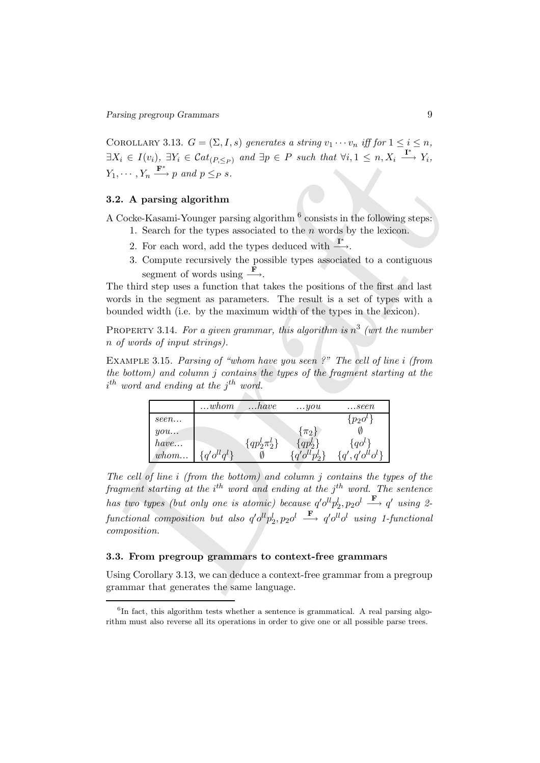COROLLARY 3.13.  $G = (\Sigma, I, s)$  generates a string  $v_1 \cdots v_n$  iff for  $1 \leq i \leq n$ ,  $\exists X_i \in I(v_i), \ \exists Y_i \in \mathcal{C}at_{(P, \leq_P)} \ \text{and} \ \exists p \in P \ \text{such that} \ \forall i, 1 \leq n, X_i \stackrel{\mathbf{I}^*}{\longrightarrow} Y_i,$  $Y_1, \cdots, Y_n \xrightarrow{\mathbf{F}^*} p \text{ and } p \leq_P s.$ 

# 3.2. A parsing algorithm

A Cocke-Kasami-Younger parsing algorithm  $^6$  consists in the following steps:

- 1. Search for the types associated to the  $n$  words by the lexicon.
- 2. For each word, add the types deduced with  $\xrightarrow{\mathbf{I}^*}$ .
- 3. Compute recursively the possible types associated to a contiguous segment of words using  $\frac{\mathbf{F}}{\mathbf{F}}$ .

The third step uses a function that takes the positions of the first and last words in the segment as parameters. The result is a set of types with a bounded width (i.e. by the maximum width of the types in the lexicon).

PROPERTY 3.14. For a given grammar, this algorithm is  $n^3$  (wrt the number n of words of input strings).

EXAMPLE 3.15. Parsing of "whom have you seen ?" The cell of line i (from the bottom) and column  $j$  contains the types of the fragment starting at the  $i^{th}$  word and ending at the  $j^{th}$  word.

|      | whom                                                | have                | you                    | seen                  |
|------|-----------------------------------------------------|---------------------|------------------------|-----------------------|
| seen |                                                     |                     |                        | $\{p_2o^{\prime\}}$   |
| you  |                                                     |                     | $\{\pi_2\}$            |                       |
| have |                                                     | $\{qp_2^l\pi_2^l\}$ | $qp_2^{\prime}$        | $\{qo^l\}$            |
| whom | $a'$ <sub>O</sub> $l$ <sub>O</sub> $l$ <sub>}</sub> |                     | $\int q' o^{ll} n^l$ . | $a'$ $o^{ll}$ $o^{l}$ |

 $X_i \in I(v_i)$ ,  $\exists Y_i \in Cat_{\{P_i \leq p\}}$  and  $\exists p \in P$  such that  $\forall i, 1 \leq n, X_i \xrightarrow{L} Y_i$ ,<br>  $\ldots, Y_n \xrightarrow{P} p$  and  $p \leq p$  s.<br>
2. A parsing algorithm<br>
2. Code.<br>
Code.<br>
2. A parsing algorithm<br>
2. Code.<br>
2. Sore exact how the types asso The cell of line i (from the bottom) and column j contains the types of the fragment starting at the  $i^{th}$  word and ending at the  $j^{th}$  word. The sentence has two types (but only one is atomic) because  $q' o^{ll} p_2^l, p_2 o^l \stackrel{\mathbf{F}}{\longrightarrow} q'$  using 2- $\emph{functional composition but also $q'o^{ll}p_2^l,p_2o^l$} \; \stackrel{\mathbf{F}}{\longrightarrow} \; q'o^{ll}o^l\; using \; 1\emph{-}functional$ composition.

#### 3.3. From pregroup grammars to context-free grammars

Using Corollary 3.13, we can deduce a context-free grammar from a pregroup grammar that generates the same language.

<sup>&</sup>lt;sup>6</sup>In fact, this algorithm tests whether a sentence is grammatical. A real parsing algorithm must also reverse all its operations in order to give one or all possible parse trees.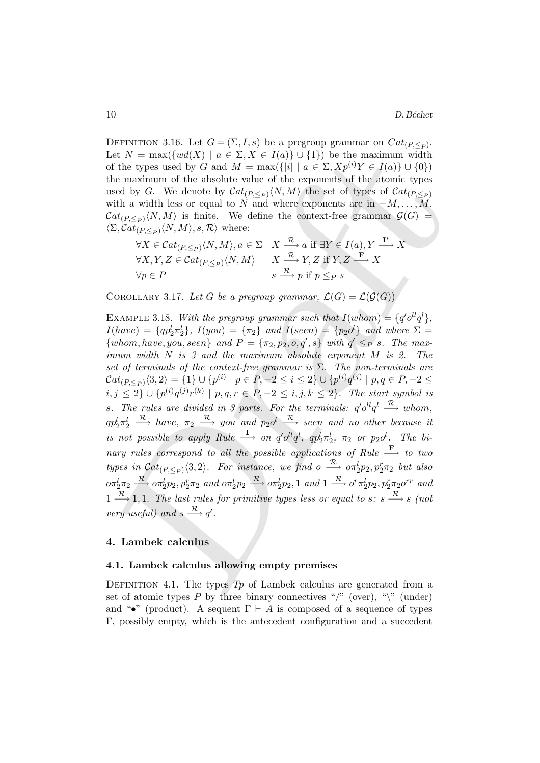DEFINITION 3.16. Let  $G = (\Sigma, I, s)$  be a pregroup grammar on  $Cat_{(P, \leq_P)}$ . Let  $N = \max({w d(X) | a \in \Sigma, X \in I(a) \cup \{1\})}$  be the maximum width of the types used by G and  $M = \max(\{|i| \mid a \in \Sigma, Xp^{(i)}Y \in I(a)\} \cup \{0\})$ the maximum of the absolute value of the exponents of the atomic types used by G. We denote by  $\mathcal{C}at_{(P,\leq_P)}\langle N,M\rangle$  the set of types of  $\mathcal{C}at_{(P,\leq_P)}$ with a width less or equal to N and where exponents are in  $-M, \ldots, M$ .  $\mathcal{C}at_{(P,\leq_P)}\langle N,M\rangle$  is finite. We define the context-free grammar  $\mathcal{G}(G)$  =  $\langle \Sigma, \mathcal{C}at_{(P,\leq_P)}\langle N, M\rangle, s, \mathcal{R}\rangle$  where:

$$
\forall X \in \mathcal{C}at_{(P,\leq_P)} \langle N, M \rangle, a \in \Sigma \quad X \xrightarrow{\mathcal{R}} a \text{ if } \exists Y \in I(a), Y \xrightarrow{\mathbf{I}^*} X
$$
  

$$
\forall X, Y, Z \in \mathcal{C}at_{(P,\leq_P)} \langle N, M \rangle \qquad X \xrightarrow{\mathcal{R}} Y, Z \text{ if } Y, Z \xrightarrow{\mathbf{F}} X
$$
  

$$
\forall p \in P \qquad s \qquad s \xrightarrow{\mathcal{R}} p \text{ if } p \leq_P s
$$

COROLLARY 3.17. Let G be a pregroup grammar,  $\mathcal{L}(G) = \mathcal{L}(\mathcal{G}(G))$ 

t  $N = \max\{ (wd(X) \mid a \in \Sigma, X \in I(a) \} \cup \{1\})$  be the maximum width<br>  $t \in \mathbb{R}$  the space state by  $G$  and  $M = \max\{|\{i\} \mid a \in \Sigma, X_P^{(j)}Y \in I(a)\} \cup \{0\} \}$ <br>
be maximum of the absolute value of the exponents of the atomic types<br>
seed b EXAMPLE 3.18. With the pregroup grammar such that  $I(whom) = \{q'o^{ll}q^l\},\$  $I(have) = \{qp_2^l \pi_2^l\}$ ,  $I(you) = \{\pi_2\}$  and  $I(seen) = \{p_2o^l\}$  and where  $\Sigma =$  $\{whom, have, you, seen\}$  and  $P = {\pi_2, p_2, o, q', s}$  with  $q' \leq_P s$ . The maximum width N is 3 and the maximum absolute exponent M is 2. The set of terminals of the context-free grammar is  $\Sigma$ . The non-terminals are  $\mathcal{C}at_{(P,\leq_P)}\langle 3,2\rangle=\{1\}\cup\{p^{(i)}\mid p\in P,-2\leq i\leq 2\}\cup\{p^{(i)}q^{(j)}\mid p,q\in P,-2\leq$  $i,j \leq 2\} \cup \{p^{(i)}q^{(j)}r^{(k)} \mid p,q,r \in P, -2 \leq i,j,k \leq 2\}$ . The start symbol is s. The rules are divided in 3 parts. For the terminals:  $q'o^{ll}q^l \stackrel{\mathcal{R}}{\longrightarrow}$  whom,  $qp_2^l\pi_2^l \stackrel{\mathcal{R}}{\longrightarrow} have, \ \pi_2 \stackrel{\mathcal{R}}{\longrightarrow} you \ \ and \ \ p_2o^l \stackrel{\mathcal{R}}{\longrightarrow}seen \ \ and \ \ no \ \ other \ because \ \ it$ is not possible to apply Rule  $\stackrel{\mathbf{I}}{\longrightarrow}$  on  $q' o^{ll} q^l$ ,  $q p_2^l \pi_2^l$ ,  $\pi_2$  or  $p_2 o^l$ . The binary rules correspond to all the possible applications of Rule  $\stackrel{\mathbf{F}}{\longrightarrow}$  to two types in  $Cat_{(P, \leq_P)} \langle 3, 2 \rangle$ . For instance, we find  $o \stackrel{\mathcal{R}}{\longrightarrow} o \pi_2^l p_2, p_2^r \pi_2$  but also  $\sigma \pi_2^l \pi_2 \stackrel{\mathcal{R}}{\longrightarrow} \sigma \pi_2^l p_2, p_2^r \pi_2$  and  $\sigma \pi_2^l p_2 \stackrel{\mathcal{R}}{\longrightarrow} \sigma \pi_2^l p_2, 1$  and  $1 \stackrel{\mathcal{R}}{\longrightarrow} \sigma^r \pi_2^l p_2, p_2^r \pi_2 \sigma^{rr}$  and  $1 \stackrel{\mathcal{R}}{\longrightarrow} 1, 1$ . The last rules for primitive types less or equal to s: s  $\stackrel{\mathcal{R}}{\longrightarrow}$  s (not very useful) and  $s \stackrel{\mathcal{R}}{\longrightarrow} q'$ .

# 4. Lambek calculus

#### 4.1. Lambek calculus allowing empty premises

DEFINITION 4.1. The types  $Tp$  of Lambek calculus are generated from a set of atomic types P by three binary connectives "/" (over), " $\mathcal{N}$ " (under) and "•" (product). A sequent  $\Gamma \vdash A$  is composed of a sequence of types Γ, possibly empty, which is the antecedent configuration and a succedent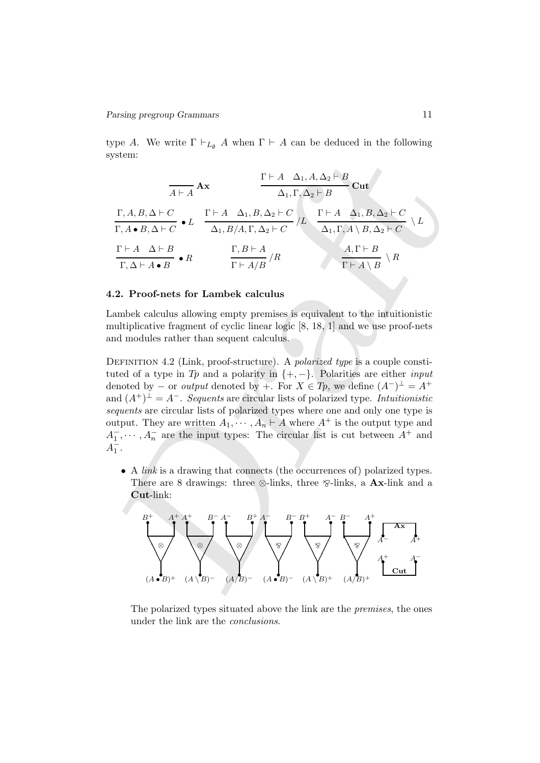type A. We write  $\Gamma \vdash_{L_{\emptyset}} A$  when  $\Gamma \vdash A$  can be deduced in the following system:

system:  
\n
$$
\frac{A+A}{A} \mathbf{A} \mathbf{x} = \frac{\Gamma \vdash A \Delta_1, A, \Delta_2 \vdash B}{\Delta_1, \Gamma, \Delta_2 \vdash C} \mathbf{C} \mathbf{u} \mathbf{t}
$$
\n
$$
\frac{\Gamma \vdash A \Delta_1, A, \Delta_2 \vdash C}{\Gamma, A \cdot B, \Delta \vdash C} \mathbf{t} \mathbf{L} \frac{\Gamma \vdash A \Delta_1, B, \Delta_2 \vdash C}{\Delta_1, B, A, \Gamma, \Delta_2 \vdash C} \mathbf{L} \frac{\Gamma \vdash A \Delta_1, B, \Delta_2 \vdash C}{\Delta_1, \Gamma, A \setminus B, \Delta_2 \vdash C} \mathbf{L}
$$
\n
$$
\frac{\Gamma \vdash A \Delta \vdash B}{\Gamma, \Delta \vdash A \cdot B} \mathbf{e} \mathbf{R} \frac{\Gamma, B \vdash A}{\Gamma \vdash A/B} / R \mathbf{R} \frac{A, \Gamma \vdash B}{\Gamma \vdash A \setminus B} \mathbf{R}
$$
\n2. **Proof-nets for Lambek calculus**  
\nambek calculus allowing empty premises is equivalent to the intuitionistic multiplicative fragment of cyclic linear logic [8, 18, 1] and we use proof-nets and modules rather than sequent calculus.  
\nDEFINITION 4.2 (Link, proof-structure). A polarized type is a couple constituted of a type in  $T_B$  and a polarized type. In*tuitionistic* denotes by + . For  $X \in T_B$ , we define  $(A^-)^{\perp} = A^+$  and  $(A^{\perp})^{\perp} = A^{\perp}$ . *Sequential* lists of polarized type. In*tuitionistic equents* are circular lists of polarized types where one and only one type is output. They are written  $A_1, \dots, A_n \vdash A$  where  $A^{\perp}$  is the output type and  $\overline{1_1}, \dots, A_n$  are the input types: The circular list is cut between  $A^{\perp}$  and  $\overline{1_1}$ .  
\n• A link is a drawing that connects (the occurrences of) polarized types. There are 8 drawings: three  $\otimes$ -links, three  $\otimes$ -links, a **Ax**-link and a **Cut**-link:  
\n
$$
\begin{bmatrix} B^{\perp} & A^{\perp} & B^{\perp
$$

# 4.2. Proof-nets for Lambek calculus

Lambek calculus allowing empty premises is equivalent to the intuitionistic multiplicative fragment of cyclic linear logic [8, 18, 1] and we use proof-nets and modules rather than sequent calculus.

DEFINITION 4.2 (Link, proof-structure). A *polarized type* is a couple constituted of a type in Tp and a polarity in  $\{+,-\}$ . Polarities are either *input* denoted by  $-$  or *output* denoted by  $+$ . For  $X \in T_p$ , we define  $(A^-)^{\perp} = A^+$ and  $(A^+)^\perp = A^-$ . Sequents are circular lists of polarized type. Intuitionistic sequents are circular lists of polarized types where one and only one type is output. They are written  $A_1, \cdots, A_n \vdash A$  where  $A^+$  is the output type and  $A_1^-, \dots, A_n^-$  are the input types: The circular list is cut between  $A^+$  and  $A_1^{\dagger}$ .

• A link is a drawing that connects (the occurrences of) polarized types. There are 8 drawings: three  $\otimes$ -links, three  $\otimes$ -links, a **Ax**-link and a Cut-link:



The polarized types situated above the link are the premises, the ones under the link are the conclusions.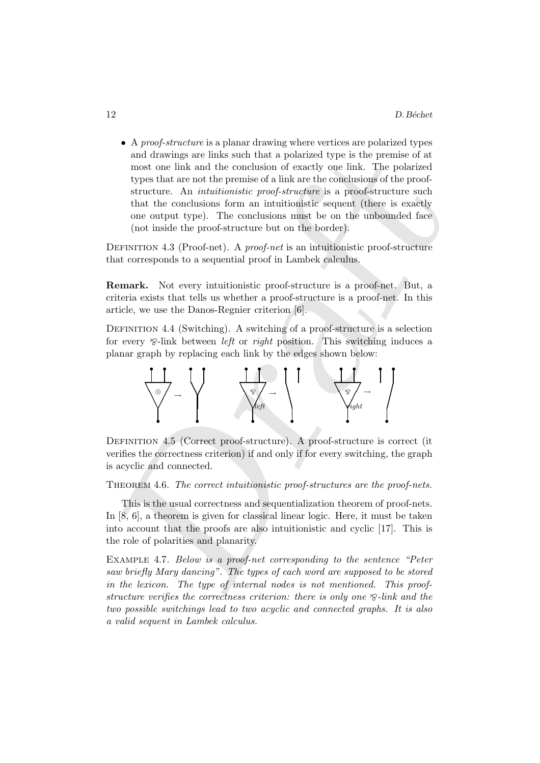and drawings are links such that a polarized type is the premise of a<br>mest one link and the conclusion of exactly one link. The polarized<br>types that are not the premise of a link are the conclusions of the proof-<br>structur • A *proof-structure* is a planar drawing where vertices are polarized types and drawings are links such that a polarized type is the premise of at most one link and the conclusion of exactly one link. The polarized types that are not the premise of a link are the conclusions of the proofstructure. An intuitionistic proof-structure is a proof-structure such that the conclusions form an intuitionistic sequent (there is exactly one output type). The conclusions must be on the unbounded face (not inside the proof-structure but on the border).

DEFINITION 4.3 (Proof-net). A *proof-net* is an intuitionistic proof-structure that corresponds to a sequential proof in Lambek calculus.

Remark. Not every intuitionistic proof-structure is a proof-net. But, a criteria exists that tells us whether a proof-structure is a proof-net. In this article, we use the Danos-Regnier criterion [6].

DEFINITION 4.4 (Switching). A switching of a proof-structure is a selection for every  $\otimes$ -link between *left* or *right* position. This switching induces a planar graph by replacing each link by the edges shown below:



DEFINITION 4.5 (Correct proof-structure). A proof-structure is correct (it verifies the correctness criterion) if and only if for every switching, the graph is acyclic and connected.

THEOREM 4.6. The correct intuitionistic proof-structures are the proof-nets.

This is the usual correctness and sequentialization theorem of proof-nets. In [8, 6], a theorem is given for classical linear logic. Here, it must be taken into account that the proofs are also intuitionistic and cyclic [17]. This is the role of polarities and planarity.

Example 4.7. Below is a proof-net corresponding to the sentence "Peter saw briefly Mary dancing". The types of each word are supposed to be stored in the lexicon. The type of internal nodes is not mentioned. This proofstructure verifies the correctness criterion: there is only one  $\delta$ -link and the two possible switchings lead to two acyclic and connected graphs. It is also a valid sequent in Lambek calculus.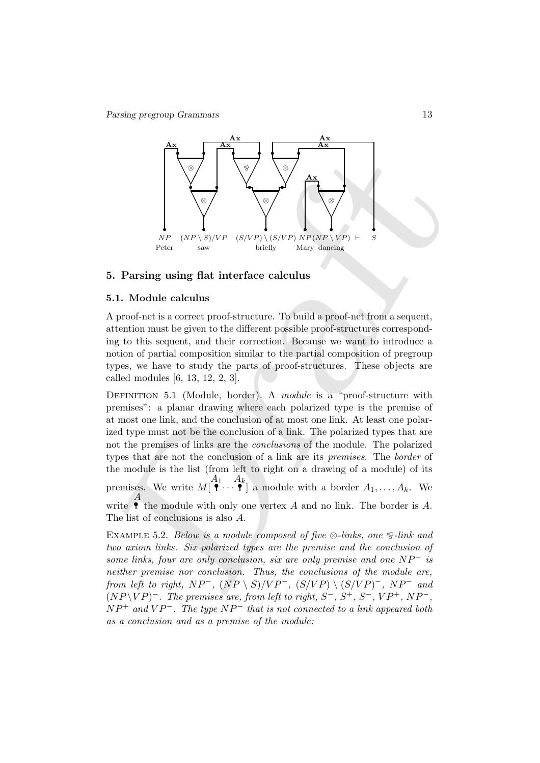

#### 5. Parsing using flat interface calculus

## 5.1. Module calculus

A proof-net is a correct proof-structure. To build a proof-net from a sequent, attention must be given to the different possible proof-structures corresponding to this sequent, and their correction. Because we want to introduce a notion of partial composition similar to the partial composition of pregroup types, we have to study the parts of proof-structures. These objects are called modules [6, 13, 12, 2, 3].

For the properties of links are the conclusion of a link are only premise and one of the method of either premise for the method of a link of the method of the method of the method of the method of the method of the serve DEFINITION 5.1 (Module, border). A *module* is a "proof-structure with premises": a planar drawing where each polarized type is the premise of at most one link, and the conclusion of at most one link. At least one polarized type must not be the conclusion of a link. The polarized types that are not the premises of links are the *conclusions* of the module. The polarized types that are not the conclusion of a link are its premises. The border of the module is the list (from left to right on a drawing of a module) of its premises. We write  $M\begin{bmatrix} A_1 & A_k \\ \mathbf{P} & \mathbf{P} \end{bmatrix}$ ] a module with a border  $A_1, \ldots, A_k$ . We write  $\overrightarrow{A}$ the module with only one vertex  $A$  and no link. The border is  $A$ . The list of conclusions is also A.

EXAMPLE 5.2. Below is a module composed of five  $\otimes$ -links, one  $\otimes$ -link and two axiom links. Six polarized types are the premise and the conclusion of some links, four are only conclusion, six are only premise and one  $NP^-$  is neither premise nor conclusion. Thus, the conclusions of the module are, from left to right,  $NP^-$ ,  $(NP \setminus S)/VP^-$ ,  $(S/VP) \setminus (S/VP)^-$ ,  $NP^-$  and  $(NP \backslash VP)^-$ . The premises are, from left to right,  $S^-$ ,  $S^+$ ,  $S^-$ ,  $VP^+$ ,  $NP^-$ ,  $NP^+$  and  $VP^-$ . The type  $NP^-$  that is not connected to a link appeared both as a conclusion and as a premise of the module: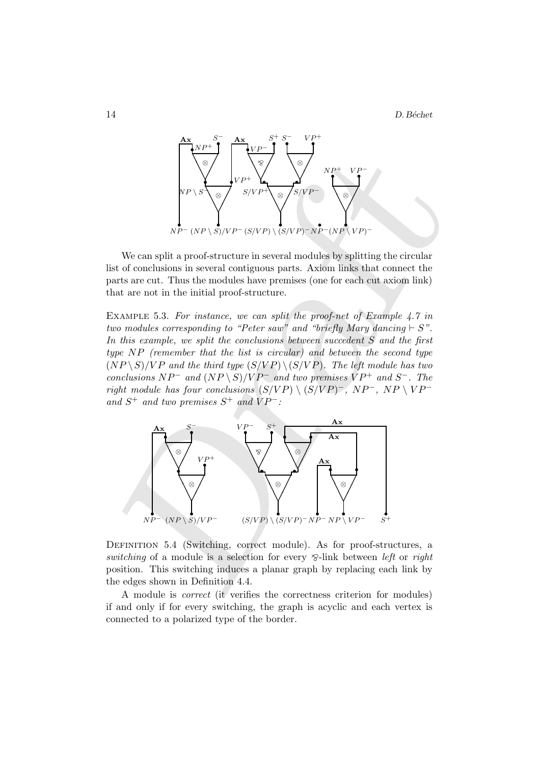

We can split a proof-structure in several modules by splitting the circular list of conclusions in several contiguous parts. Axiom links that connect the parts are cut. Thus the modules have premises (one for each cut axiom link) that are not in the initial proof-structure.

EXAMPLE 5.3. For instance, we can split the proof-net of Example 4.7 in two modules corresponding to "Peter saw" and "briefly Mary dancing  $\vdash S$ ". In this example, we split the conclusions between succedent S and the first type NP (remember that the list is circular) and between the second type  $(NP \setminus S)/VP$  and the third type  $(S/VP) \setminus (S/VP)$ . The left module has two conclusions  $NP^-$  and  $(NP \setminus S)/VP^-$  and two premises  $VP^+$  and  $S^-$ . The right module has four conclusions  $(S/VP) \setminus (S/VP)^{-}$ , NP<sup>-</sup>, NP  $\setminus VP^{-}$ and  $S^+$  and two premises  $S^+$  and  $VP^-$ :



DEFINITION 5.4 (Switching, correct module). As for proof-structures, a switching of a module is a selection for every  $\mathcal{D}$ -link between *left* or *right* position. This switching induces a planar graph by replacing each link by the edges shown in Definition 4.4.

A module is correct (it verifies the correctness criterion for modules) if and only if for every switching, the graph is acyclic and each vertex is connected to a polarized type of the border.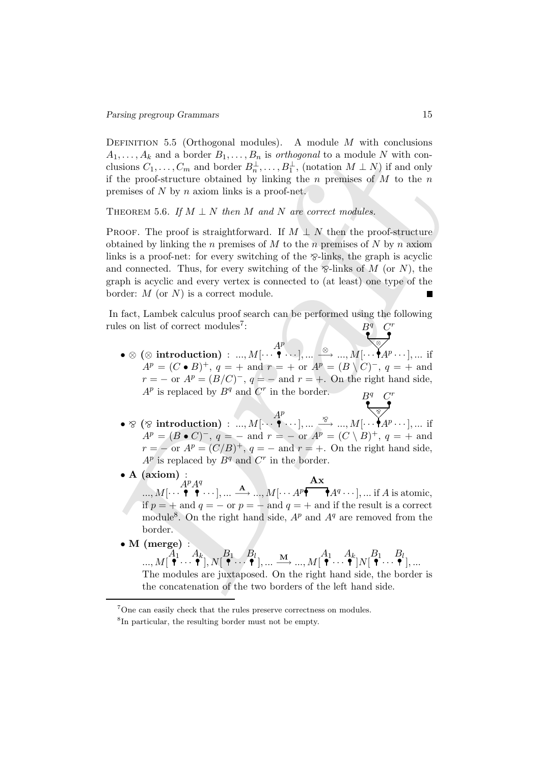DEFINITION 5.5 (Orthogonal modules). A module M with conclusions  $A_1, \ldots, A_k$  and a border  $B_1, \ldots, B_n$  is *orthogonal* to a module N with conclusions  $C_1, \ldots, C_m$  and border  $B_n^{\perp}, \ldots, B_1^{\perp}$ , (notation  $M \perp N$ ) if and only if the proof-structure obtained by linking the n premises of  $M$  to the n premises of N by n axiom links is a proof-net.

THEOREM 5.6. If  $M \perp N$  then M and N are correct modules.

1,..., A<sub>g</sub> and a border  $B_1, ..., B_n$  is orthogonal to a module N with con-<br>tusions  $C_1, ..., C_m$  and border  $B_n^{\perp}, ..., B_n^{\perp}$ , (notation  $M \perp N$ ) if and only<br>the proof-structure obtained by linking the *n* premises of M to the PROOF. The proof is straightforward. If  $M \perp N$  then the proof-structure obtained by linking the n premises of M to the n premises of N by n axiom links is a proof-net: for every switching of the  $\gamma$ -links, the graph is acyclic and connected. Thus, for every switching of the  $\mathcal{D}$ -links of M (or N), the graph is acyclic and every vertex is connected to (at least) one type of the border:  $M$  (or  $N$ ) is a correct module.

In fact, Lambek calculus proof search can be performed using the following rules on list of correct modules<sup>7</sup>:  $\begin{array}{cc} B^q & C^r \ \bullet \end{array}$ 

- $\bullet \otimes (\otimes \text{ introduction}) \, : \, ... , M [ \cdots \overset{\bullet}{\bullet} ]$  $A^p$  $\dots, M[\cdots]$  ,  $\dots \stackrel{\otimes}{\longrightarrow} \dots, M[\cdots]$ ❅❅ <sup>⊗</sup>  $A^p \cdots$ ], ... if  $A^{p} = (C \bullet B)^{+}, q = + \text{ and } r = + \text{ or } A^{p} = (B \setminus C)^{-}, q = + \text{ and }$  $r = -$  or  $A^p = (B/C)^{-}$ ,  $q = -$  and  $r = +$ . On the right hand side,  $A^p$  is replaced by  $B^q$  and  $C^r$  in the border.  $B^q$   $C^q$ r
- $\bullet \otimes (\otimes \text{ introduction}) \, : \, ... , M [ \cdots \overset{\bullet}{\bullet} ]$  $A^p$  $\cdots$ ], ...  $\stackrel{\otimes}{\longrightarrow}$  ...,  $M[\cdots]$ ❅❅ <sup>O</sup>  $A^p \cdots$ ], ... if  $A^{p} = (B \bullet C)^{-}, q = - \text{ and } r = - \text{ or } A^{p} = (C \setminus B)^{+}, q = + \text{ and }$  $r = -$  or  $A^p = (C/B)^+$ ,  $q = -$  and  $r = +$ . On the right hand side,  $A^p$  is replaced by  $B^q$  and  $C^r$  in the border.
- A (axiom) :
	- $..., M[\cdots]$  $A^p A^q$  $\cdots$  ], ...  $\stackrel{\mathbf{A}}{\longrightarrow} ...$ ,  $M[\cdots A^p]$ Ax  $A^q \cdots$ , ... if A is atomic, if  $p = +$  and  $q = -$  or  $p = -$  and  $q = +$  and if the result is a correct module<sup>8</sup>. On the right hand side,  $A^p$  and  $A^q$  are removed from the border.
- M (merge) :

 $\ldots$ ,  $M[\begin{array}{c} A_1\cdot A_k\ \bullet\cdot\cdot\bullet\end{array}], N[\begin{array}{c} B_1\cdot\cdot\cdot\bullet\ \bullet\end{array}]$  $],...\stackrel{\mathbf{M}}{\longrightarrow}...,M[\stackrel{A_{1}}{\bullet}...\stackrel{A_{k}}{\bullet}]N[\stackrel{B_{1}}{\bullet}...\stackrel{B_{l}}{\bullet}$ ], ...

The modules are juxtaposed. On the right hand side, the border is the concatenation of the two borders of the left hand side.

<sup>7</sup>One can easily check that the rules preserve correctness on modules.

<sup>8</sup> In particular, the resulting border must not be empty.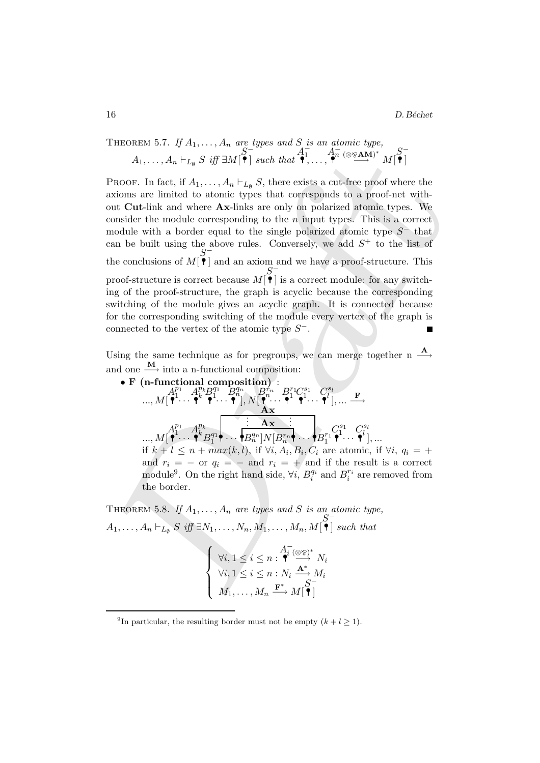THEOREM 5.7. If 
$$
A_1, ..., A_n
$$
 are types and S is an atomic type,  
\n
$$
A_1, ..., A_n \vdash_{L_{\emptyset}} S \text{ iff } \exists M[\mathbf{\hat{P}}] \text{ such that } \mathbf{\hat{P}}, ..., \mathbf{\hat{P}} \text{ (} \otimes_{\mathbf{\hat{P}}} A_{\mathbf{M}}^{\mathbf{\hat{P}}})^* M[\mathbf{\hat{P}}]
$$

 $A_1, \ldots, A_n \vdash_{L_0} S$  iff  $\exists M[\stackrel{\bullet}{\bullet}]$  such that  $\stackrel{\bullet}{\bullet}\{1,\ldots,\stackrel{\bullet}{\bullet}{}^n(\otimes 2\mathbf{A}\mathbf{M})$ <br>
Roofs. In fact, if  $A_1, \ldots, A_n \vdash_{L_0} S$ , there exists a cut-free proof where the<br>
itelnsions are limited to atomic types th PROOF. In fact, if  $A_1, \ldots, A_n \vdash_{L_{\emptyset}} S$ , there exists a cut-free proof where the axioms are limited to atomic types that corresponds to a proof-net without Cut-link and where Ax-links are only on polarized atomic types. We consider the module corresponding to the  $n$  input types. This is a correct module with a border equal to the single polarized atomic type  $S^-$  that can be built using the above rules. Conversely, we add  $S^+$  to the list of the conclusions of  $M[\stackrel{\bullet}{\bullet}]$ ] and an axiom and we have a proof-structure. This proof-structure is correct because  $M$ <sup>[ $\bullet$ </sup>] ] is a correct module: for any switching of the proof-structure, the graph is acyclic because the corresponding switching of the module gives an acyclic graph. It is connected because for the corresponding switching of the module every vertex of the graph is connected to the vertex of the atomic type  $S^-$ .

Using the same technique as for pregroups, we can merge together n  $\stackrel{\mathbf{A}}{\longrightarrow}$ and one  $\xrightarrow{\mathbf{M}}$  into a n-functional composition:

\n- $$
\bullet
$$
 **F** (**n**-functional composition):
\n- $A_1^{p_1} A_2^{p_k} B_1^{q_1} B_2^{q_n} B_1^{r_n} B_1^{r_1} C_1^{s_1} C_1^{s_1} \ldots \bullet$
\n- $\ldots, M[\bullet^1 \cdots \bullet^k \bullet^1 \cdots \bullet^n], N[\bullet^n \cdots \bullet^1 \bullet^1 \cdots \bullet^1], \ldots \to$
\n- $A \mathbf{x}$
\n- $\ldots, M[\bullet^1 \cdots \bullet^k B_1^{q_1} \bullet \cdots \bullet B_n^{q_n}] N[B_n^{r_n} \bullet \cdots B_1^{r_1} \bullet^1 \cdots \bullet^1], \ldots$
\n- $H k + l \leq n + \max(k, l)$ , if  $\forall i, A_i, B_i, C_i$  are atomic, if  $\forall i, q_i = +$  and  $r_i = -$  or  $q_i = -$  and  $r_i = +$  and if the result is a correct module<sup>9</sup>. On the right hand side,  $\forall i, B_i^{q_i}$  and  $B_i^{r_i}$  are removed from the border.
\n

THEOREM 5.8. If  $A_1, \ldots, A_n$  are types and S is an atomic type,  $A_1, \ldots, A_n \vdash_{L_{\emptyset}} S \text{ iff } \exists N_1, \ldots, N_n, M_1, \ldots, M_n, M[\stackrel{S}{\bullet}]$ ] such that

$$
\begin{cases} \forall i, 1 \leq i \leq n : \overbrace{\mathbf{A}^{\mathbf{I}} \left( \otimes \otimes \right)^{*}}^{A_{\mathbf{I}}^{-}} N_{i} \\ \forall i, 1 \leq i \leq n : N_{i} \xrightarrow{\mathbf{A}^{*}} M_{i} \\ M_{1}, \ldots, M_{n} \xrightarrow{\mathbf{F}^{*}} M[\overbrace{\mathbf{A}^{\mathbf{I}}}] \end{cases}
$$

<sup>&</sup>lt;sup>9</sup>In particular, the resulting border must not be empty  $(k+l \geq 1)$ .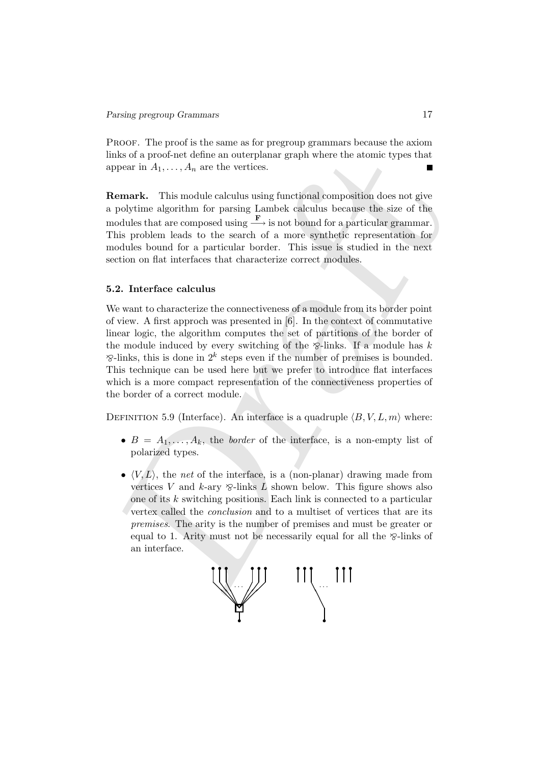Proof. The proof is the same as for pregroup grammars because the axiom links of a proof-net define an outerplanar graph where the atomic types that appear in  $A_1, \ldots, A_n$  are the vertices.

Remark. This module calculus using functional composition does not give a polytime algorithm for parsing Lambek calculus because the size of the modules that are composed using  $\frac{\mathbf{F}}{\mathbf{F}}$  is not bound for a particular grammar. This problem leads to the search of a more synthetic representation for modules bound for a particular border. This issue is studied in the next section on flat interfaces that characterize correct modules.

#### 5.2. Interface calculus

where in a through and the proparity and the proparation of the precision of the precision of the methanic This model control to propertie in the properties.<br> **Expectimely** the algorithm for parsing Lambek calculus becaus We want to characterize the connectiveness of a module from its border point of view. A first approch was presented in [6]. In the context of commutative linear logic, the algorithm computes the set of partitions of the border of the module induced by every switching of the  $\hat{\gamma}$ -links. If a module has k  $\mathcal{D}$ -links, this is done in  $2^k$  steps even if the number of premises is bounded. This technique can be used here but we prefer to introduce flat interfaces which is a more compact representation of the connectiveness properties of the border of a correct module.

DEFINITION 5.9 (Interface). An interface is a quadruple  $\langle B, V, L, m \rangle$  where:

- $B = A_1, \ldots, A_k$ , the *border* of the interface, is a non-empty list of polarized types.
- $\langle V, L \rangle$ , the *net* of the interface, is a (non-planar) drawing made from vertices V and k-ary  $\varphi$ -links L shown below. This figure shows also one of its k switching positions. Each link is connected to a particular vertex called the conclusion and to a multiset of vertices that are its premises. The arity is the number of premises and must be greater or equal to 1. Arity must not be necessarily equal for all the  $\delta$ -links of an interface.

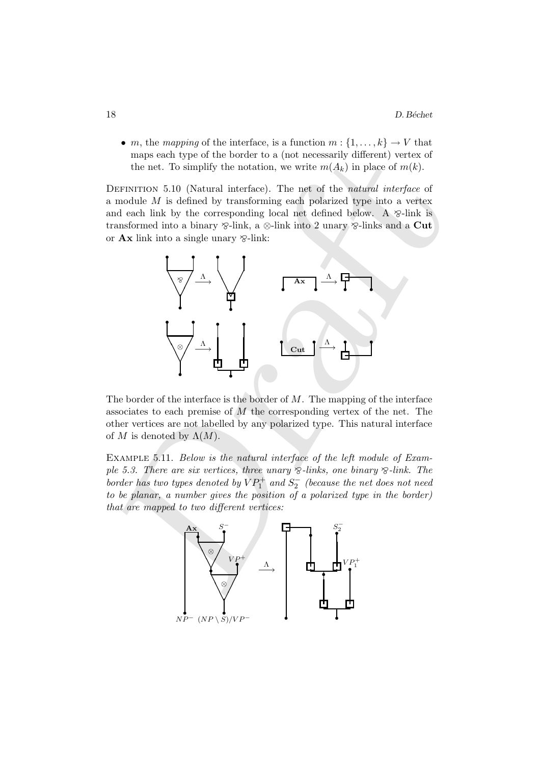• m, the mapping of the interface, is a function  $m: \{1, \ldots, k\} \to V$  that maps each type of the border to a (not necessarily different) vertex of the net. To simplify the notation, we write  $m(A_k)$  in place of  $m(k)$ .

DEFINITION 5.10 (Natural interface). The net of the natural interface of a module M is defined by transforming each polarized type into a vertex and each link by the corresponding local net defined below. A  $\otimes$ -link is transformed into a binary  $\otimes$ -link, a  $\otimes$ -link into 2 unary  $\otimes$ -links and a Cut or  $\mathbf{A} \mathbf{x}$  link into a single unary  $\otimes$ -link:



The border of the interface is the border of  $M$ . The mapping of the interface associates to each premise of  $M$  the corresponding vertex of the net. The other vertices are not labelled by any polarized type. This natural interface of M is denoted by  $\Lambda(M)$ .

Example 5.11. Below is the natural interface of the left module of Example 5.3. There are six vertices, three unary  $\delta$ -links, one binary  $\delta$ -link. The border has two types denoted by  $VP_1^+$  and  $S_2^-$  (because the net does not need to be planar, a number gives the position of a polarized type in the border) that are mapped to two different vertices:

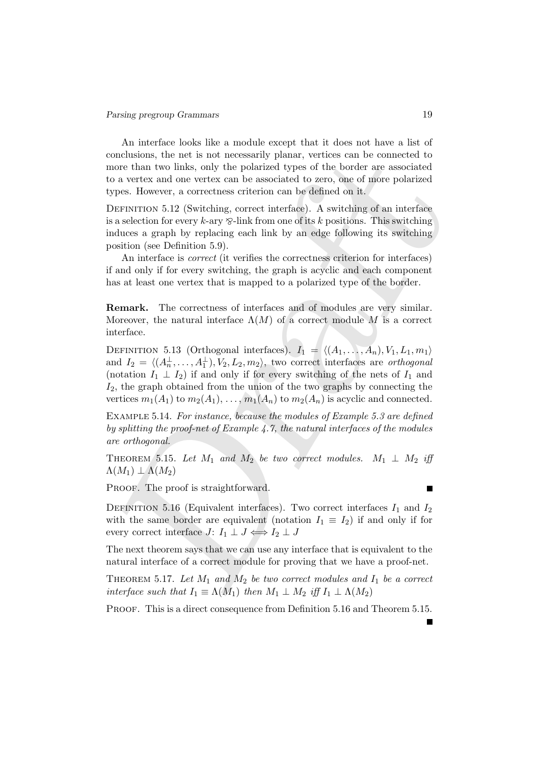An interface looks like a module except that it does not have a list of conclusions, the net is not necessarily planar, vertices can be connected to more than two links, only the polarized types of the border are associated to a vertex and one vertex can be associated to zero, one of more polarized types. However, a correctness criterion can be defined on it.

DEFINITION 5.12 (Switching, correct interface). A switching of an interface is a selection for every k-ary  $\delta$ -link from one of its k positions. This switching induces a graph by replacing each link by an edge following its switching position (see Definition 5.9).

An interface is *correct* (it verifies the correctness criterion for interfaces) if and only if for every switching, the graph is acyclic and each component has at least one vertex that is mapped to a polarized type of the border.

Remark. The correctness of interfaces and of modules are very similar. Moreover, the natural interface  $\Lambda(M)$  of a correct module M is a correct interface.

conclusions, the net is not necessarily planar, vertices can be connected to<br>none than two links, only the polarized types of the border are associated<br>on a vertex and one vertex can be associated to zero, one of more pol DEFINITION 5.13 (Orthogonal interfaces).  $I_1 = \langle (A_1, \ldots, A_n), V_1, L_1, m_1 \rangle$ and  $I_2 = \langle (A_n^{\perp}, \ldots, A_1^{\perp}), V_2, L_2, m_2 \rangle$ , two correct interfaces are *orthogonal* (notation  $I_1 \perp I_2$ ) if and only if for every switching of the nets of  $I_1$  and  $I_2$ , the graph obtained from the union of the two graphs by connecting the vertices  $m_1(A_1)$  to  $m_2(A_1), \ldots, m_1(A_n)$  to  $m_2(A_n)$  is acyclic and connected.

Example 5.14. For instance, because the modules of Example 5.3 are defined by splitting the proof-net of Example 4.7, the natural interfaces of the modules are orthogonal.

THEOREM 5.15. Let  $M_1$  and  $M_2$  be two correct modules.  $M_1 \perp M_2$  iff  $\Lambda(M_1) \perp \Lambda(M_2)$ 

PROOF. The proof is straightforward.

DEFINITION 5.16 (Equivalent interfaces). Two correct interfaces  $I_1$  and  $I_2$ with the same border are equivalent (notation  $I_1 \equiv I_2$ ) if and only if for every correct interface  $J: I_1 \perp J \Longleftrightarrow I_2 \perp J$ 

The next theorem says that we can use any interface that is equivalent to the natural interface of a correct module for proving that we have a proof-net.

THEOREM 5.17. Let  $M_1$  and  $M_2$  be two correct modules and  $I_1$  be a correct interface such that  $I_1 \equiv \Lambda(M_1)$  then  $M_1 \perp M_2$  iff  $I_1 \perp \Lambda(M_2)$ 

PROOF. This is a direct consequence from Definition 5.16 and Theorem 5.15.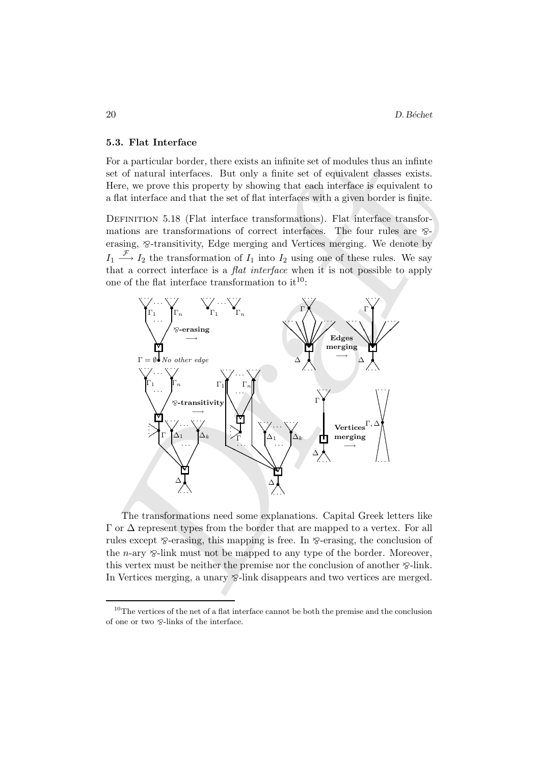#### 5.3. Flat Interface

For a particular border, there exists an infinite set of modules thus an infinte set of natural interfaces. But only a finite set of equivalent classes exists. Here, we prove this property by showing that each interface is equivalent to a flat interface and that the set of flat interfaces with a given border is finite.

DEFINITION 5.18 (Flat interface transformations). Flat interface transformations are transformations of correct interfaces. The four rules are  $\otimes$ erasing,  $\otimes$ -transitivity, Edge merging and Vertices merging. We denote by  $I_1 \stackrel{\mathcal{F}}{\longrightarrow} I_2$  the transformation of  $I_1$  into  $I_2$  using one of these rules. We say that a correct interface is a flat interface when it is not possible to apply one of the flat interface transformation to  $it^{10}$ :



The transformations need some explanations. Capital Greek letters like  $\Gamma$  or  $\Delta$  represent types from the border that are mapped to a vertex. For all rules except  $\delta$ -erasing, this mapping is free. In  $\delta$ -erasing, the conclusion of the *n*-ary  $\otimes$ -link must not be mapped to any type of the border. Moreover, this vertex must be neither the premise nor the conclusion of another  $\otimes$ -link. In Vertices merging, a unary  $\mathcal{C}$ -link disappears and two vertices are merged.

 $10$ The vertices of the net of a flat interface cannot be both the premise and the conclusion of one or two  $\otimes$ -links of the interface.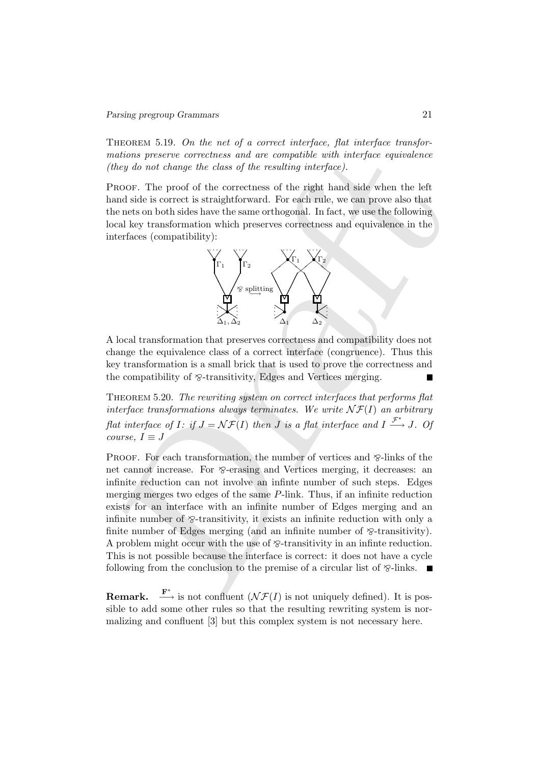THEOREM 5.19. On the net of a correct interface, flat interface transformations preserve correctness and are compatible with interface equivalence (they do not change the class of the resulting interface).

PROOF. The proof of the correctness of the right hand side when the left hand side is correct is straightforward. For each rule, we can prove also that the nets on both sides have the same orthogonal. In fact, we use the following local key transformation which preserves correctness and equivalence in the interfaces (compatibility):



A local transformation that preserves correctness and compatibility does not change the equivalence class of a correct interface (congruence). Thus this key transformation is a small brick that is used to prove the correctness and the compatibility of  $\delta$ -transitivity, Edges and Vertices merging.

Theorem 5.20. The rewriting system on correct interfaces that performs flat interface transformations always terminates. We write  $\mathcal{NF}(I)$  an arbitrary flat interface of I: if  $J = \mathcal{NF}(I)$  then J is a flat interface and  $I \stackrel{\mathcal{F}^*}{\longrightarrow} J$ . Of course,  $I \equiv J$ 

stations preserve correctness and are computible with interface equivalence<br>they do not change the class of the resulting interface).<br>
RoOF. The proof of the correctness of the right hand side when the left<br>
and side is c PROOF. For each transformation, the number of vertices and  $\delta$ -links of the net cannot increase. For  $\delta$ -erasing and Vertices merging, it decreases: an infinite reduction can not involve an infinte number of such steps. Edges merging merges two edges of the same P-link. Thus, if an infinite reduction exists for an interface with an infinite number of Edges merging and an infinite number of  $\otimes$ -transitivity, it exists an infinite reduction with only a finite number of Edges merging (and an infinite number of  $\mathcal{D}$ -transitivity). A problem might occur with the use of  $\otimes$ -transitivity in an infinite reduction. This is not possible because the interface is correct: it does not have a cycle following from the conclusion to the premise of a circular list of  $\mathcal{S}-$ links.

**Remark.**  $\stackrel{\mathbf{F}^*}{\longrightarrow}$  is not confluent  $(\mathcal{NF}(I))$  is not uniquely defined). It is possible to add some other rules so that the resulting rewriting system is normalizing and confluent [3] but this complex system is not necessary here.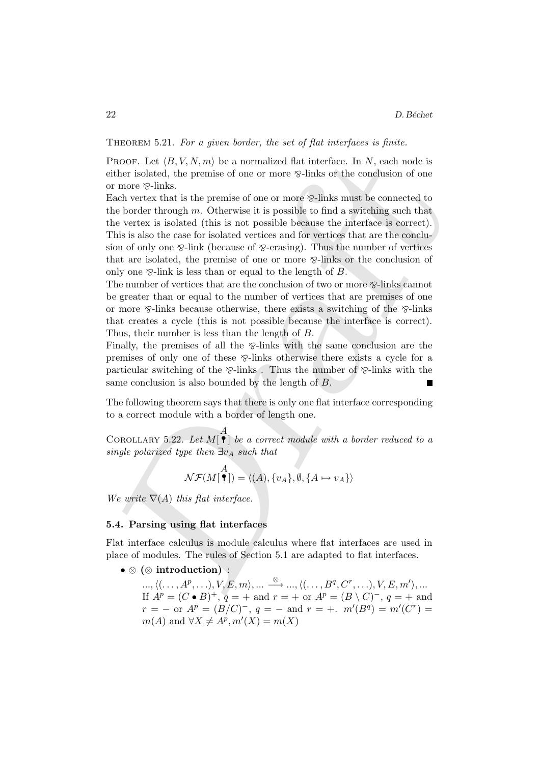THEOREM 5.21. For a given border, the set of flat interfaces is finite.

PROOF. Let  $\langle B, V, N, m \rangle$  be a normalized flat interface. In N, each node is either isolated, the premise of one or more  $\delta$ -links or the conclusion of one or more  $\otimes$ -links.

PROOF. Let  $\langle B, V, N, m \rangle$  be a normalized flat interface. In N, each node is<br>ther isolated, the permise of one or more  $\otimes$ -links or the conclusion of one<br>more  $\otimes$ -links.<br>can were that is the premise of one or more  $\otimes$ Each vertex that is the premise of one or more  $\otimes$ -links must be connected to the border through  $m$ . Otherwise it is possible to find a switching such that the vertex is isolated (this is not possible because the interface is correct). This is also the case for isolated vertices and for vertices that are the conclusion of only one  $\delta$ -link (because of  $\delta$ -erasing). Thus the number of vertices that are isolated, the premise of one or more  $\delta$ -links or the conclusion of only one  $\otimes$ -link is less than or equal to the length of B.

The number of vertices that are the conclusion of two or more  $\hat{Z}$ -links cannot be greater than or equal to the number of vertices that are premises of one or more  $\delta$ -links because otherwise, there exists a switching of the  $\delta$ -links that creates a cycle (this is not possible because the interface is correct). Thus, their number is less than the length of B.

Finally, the premises of all the  $\delta$ -links with the same conclusion are the premises of only one of these  $\Sigma$ -links otherwise there exists a cycle for a particular switching of the  $\delta$ -links . Thus the number of  $\delta$ -links with the same conclusion is also bounded by the length of B.

The following theorem says that there is only one flat interface corresponding to a correct module with a border of length one.

COROLLARY 5.22. Let  $M[$   $A$ ] be a correct module with a border reduced to a single polarized type then  $\exists v_A$  such that

$$
\mathcal{NF}(M[\stackrel{A}{\bullet}]) = \langle (A), \{v_A\}, \emptyset, \{A \mapsto v_A\} \rangle
$$

We write  $\nabla(A)$  this flat interface.

# 5.4. Parsing using flat interfaces

Flat interface calculus is module calculus where flat interfaces are used in place of modules. The rules of Section 5.1 are adapted to flat interfaces.

• ⊗ (⊗ introduction) :

 $\ldots, \langle (\ldots, A^p, \ldots), V, E, m \rangle, \ldots \stackrel{\otimes}{\longrightarrow} \ldots, \langle (\ldots, B^q, C^r, \ldots), V, E, m' \rangle, \ldots$ If  $A^p = (C \bullet B)^+$ ,  $q = +$  and  $r = +$  or  $A^p = (B \setminus C)^-$ ,  $q = +$  and  $r = -$  or  $A^p = (B/C)^-$ ,  $q = -$  and  $r = +$ .  $m'(B^q) = m'(C^r) =$  $m(A)$  and  $\forall X \neq A^p, m'(X) = m(X)$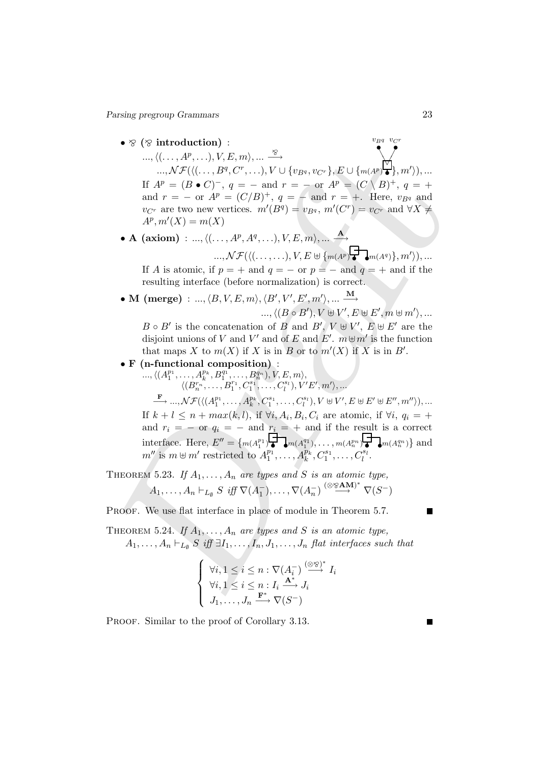Parsing pregroup Grammars 23

•  $\otimes$  ( $\otimes$  introduction) :

...,  $\langle \langle \ldots, A^p, \ldots \rangle, V, E, m \rangle, \ldots \rightarrow \ldots$ <br>
...,  $\mathcal{N}F(\langle \langle \ldots, P^q, C^p, \ldots \rangle, V \cup \{v_B, v_C, \} \rangle, E \cup \{m(A^p)^q, m'\rangle\}, \ldots$ <br>
If  $A^p = (B \bullet C)^{-1}, q = -$  and  $r = -$  or  $A^p \equiv (C \setminus B)^{+}, q = +$ <br>
and  $r = -$  or  $A^p = (C \setminus B)^{+}, q = -$  and  $r = 1$ . He  $..., \langle (..., A^p,...), V, E, m \rangle, ... \stackrel{\otimes}{\longrightarrow}$  $...,$   $\mathcal{NF}(\langle(\ldots,B^q,C^r,\ldots),V\cup\{v_{B^q},v_{C^r}\},E\cup\{m(A^p)\}$ ❆ ✁ ↖  $\mathbf{v}_B$ q  $\mathbf{v}_C$ r  $\big/$  $\},m'\rangle),...$ If  $A^p = (B \bullet C)^{-}$ ,  $q = -$  and  $r = -$  or  $A^p = (C \setminus B)^{+}$ ,  $q = +$ and  $r = -$  or  $A^p = (C/B)^+$ ,  $q = -$  and  $r = +$ . Here,  $v_{Bq}$  and  $v_{C^r}$  are two new vertices.  $m'(B^q) = v_{B^q}, m'(C^r) = v_{C^r}$  and  $\forall X \neq$  $A^p, m'(X) = m(X)$ 

• A (axiom) : ...,  $\langle (\ldots, A^p, A^q, \ldots), V, E, m \rangle, \ldots \stackrel{\mathbf{A}}{\longrightarrow}$ 

$$
\ldots, \mathcal{NF}(\langle (\ldots, \ldots), V, E \uplus \{m(A^p)\big\} \rightarrow m(A^q)\}, m'\rangle), \ldots
$$

If A is atomic, if  $p = +$  and  $q = -$  or  $p = -$  and  $q = +$  and if the resulting interface (before normalization) is correct.

• M (merge) : ...,  $\langle B,V,E,m\rangle, \langle B',V',E',m'\rangle, ...\overset{\mathbf{M}}{\longrightarrow}$ 

$$
...,\langle (B\circ B'), V\uplus V', E\uplus E', m\uplus m'\rangle,...
$$

 $B \circ B'$  is the concatenation of B and  $B'$ ,  $V \oplus V'$ ,  $E \oplus E'$  are the disjoint unions of V and V' and of E and E'.  $m \,\forall m'$  is the function that maps X to  $m(X)$  if X is in B or to  $m'(X)$  if X is in B'.

# • F (n-functional composition) :

 $\ldots, \langle (A_1^{p_1}, \ldots, A_k^{p_k}, B_1^{q_1}, \ldots, B_n^{q_n}), V, E, m \rangle,$  $\langle (B^{r_n}_n, \ldots, B^{r_1}_1, C^{s_1}_1, \ldots, C^{s_l}_l), V'E', m' \rangle, \ldots$ 

 $\stackrel{\mathbf{F}}{\longrightarrow} ... , \mathcal{NF}(\langle (A_1^{p_1}, \ldots, A_k^{p_k}, C_1^{s_1}, \ldots, C_l^{s_l}), V \uplus V', E \uplus E' \uplus E'', m'' \rangle), ...$ If  $k + l \leq n + max(k, l)$ , if  $\forall i, A_i, B_i, C_i$  are atomic, if  $\forall i, q_i = +$ and  $r_i = -$  or  $q_i = -$  and  $r_i = +$  and if the result is a correct interface. Here,  $E'' = \{m(A_1^{p_1}) \cdot \cdot \cdot m(A_1^{q_1}), \dots, m(A_n^{p_n}) \cdot \cdot \cdot m(A_n^{q_n})\}$  and  $m''$  is  $m \uplus m'$  restricted to  $A_1^{p_1}, \ldots, A_k^{p_k}, C_1^{s_1}, \ldots, C_l^{s_l}$ .

THEOREM 5.23. If  $A_1, \ldots, A_n$  are types and S is an atomic type,  $A_1, \ldots, A_n \vdash_{L_{\emptyset}} S \; \mathit{iff} \; \nabla(A_1^-), \ldots, \nabla(A_n^-) \stackrel{(\otimes \otimes \textbf{AM})^*}{\longrightarrow} \nabla(S^-)$ 

PROOF. We use flat interface in place of module in Theorem 5.7.

THEOREM 5.24. If  $A_1, \ldots, A_n$  are types and S is an atomic type,  $A_1, \ldots, A_n \vdash_{L_{\emptyset}} S$  iff  $\exists I_1, \ldots, I_n, J_1, \ldots, J_n$  flat interfaces such that

$$
\begin{cases} \forall i, 1 \leq i \leq n : \nabla (A_i^-) \stackrel{(\otimes \otimes)^*}{\longrightarrow} I_i \\ \forall i, 1 \leq i \leq n : I_i \xrightarrow{\mathbf{A}^*} J_i \\ J_1, \dots, J_n \xrightarrow{\mathbf{F}^*} \nabla (S^-) \end{cases}
$$

PROOF. Similar to the proof of Corollary 3.13.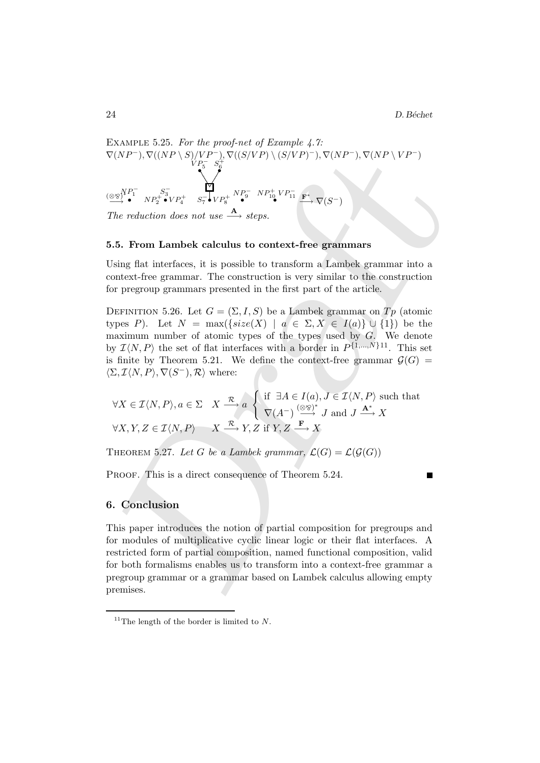EXAMPLE 5.25. For the proof-net of Example 4.7:  $\nabla(NP^-), \nabla((NP \setminus S)/VP^-), \nabla((S/VP) \setminus (S/VP)^-), \nabla(NP^-), \nabla(NP \setminus VP^-)$  $\overrightarrow{\text{exp}}$  $\frac{1}{2}$ . .<br>.<br>.  $P_1^ _{NP_2^+ \bullet VP_4^+}$   $_{S_7^-}$   $_{VP_8^+}$   $_{NP_9^-}$   $_{NP_{10}^+}$   $_{VP_{11}^-}$  $\stackrel{1}{\bullet}$   $\stackrel{5}{\bullet}$  $VP_5^ S_6^+$  $\bigvee_{\bullet}^{NP_1^-} \bigvee_{N P_2^+ \bullet}^{S_3^-} V P_4^+ \quad S_7^- \bigvee_{\bullet}^{I} V P_8^+ \stackrel{NP_9^-}{\bullet}^{NP_{10}^+} V P_{11}^- \stackrel{F^*}{\longrightarrow} \nabla (S^-)$ 

The reduction does not use  $\stackrel{\mathbf{A}}{\longrightarrow}$  steps.

### 5.5. From Lambek calculus to context-free grammars

Using flat interfaces, it is possible to transform a Lambek grammar into a context-free grammar. The construction is very similar to the construction for pregroup grammars presented in the first part of the article.

DEFINITION 5.26. Let  $G = (\Sigma, I, S)$  be a Lambek grammar on  $Tp$  (atomic types P). Let  $N = \max({size(X) | a \in \Sigma, X \in I(a) \cup \{1\})}$  be the maximum number of atomic types of the types used by  $G$ . We denote by  $\mathcal{I}\langle N, P \rangle$  the set of flat interfaces with a border in  $P^{\{1,\ldots,N\}11}$ . This set is finite by Theorem 5.21. We define the context-free grammar  $\mathcal{G}(G)$  =  $\langle \Sigma, \mathcal{I} \langle N, P \rangle, \nabla(S^{-}), \mathcal{R} \rangle$  where:

$$
\forall X \in \mathcal{I}\langle N, P \rangle, a \in \Sigma \quad X \xrightarrow{\mathcal{R}} a \begin{cases} \text{if } \exists A \in I(a), J \in \mathcal{I}\langle N, P \rangle \text{ such that} \\ \nabla(A^-) \xrightarrow{(\otimes \otimes)^*} J \text{ and } J \xrightarrow{\mathbf{A}^*} X \end{cases}
$$

$$
\forall X, Y, Z \in \mathcal{I}\langle N, P \rangle \qquad X \xrightarrow{\mathcal{R}} Y, Z \text{ if } Y, Z \xrightarrow{\mathbf{F}} X
$$

THEOREM 5.27. Let G be a Lambek grammar,  $\mathcal{L}(G) = \mathcal{L}(\mathcal{G}(G))$ 

PROOF. This is a direct consequence of Theorem 5.24.

# 6. Conclusion

Draft This paper introduces the notion of partial composition for pregroups and for modules of multiplicative cyclic linear logic or their flat interfaces. A restricted form of partial composition, named functional composition, valid for both formalisms enables us to transform into a context-free grammar a pregroup grammar or a grammar based on Lambek calculus allowing empty premises.

<sup>&</sup>lt;sup>11</sup>The length of the border is limited to  $N$ .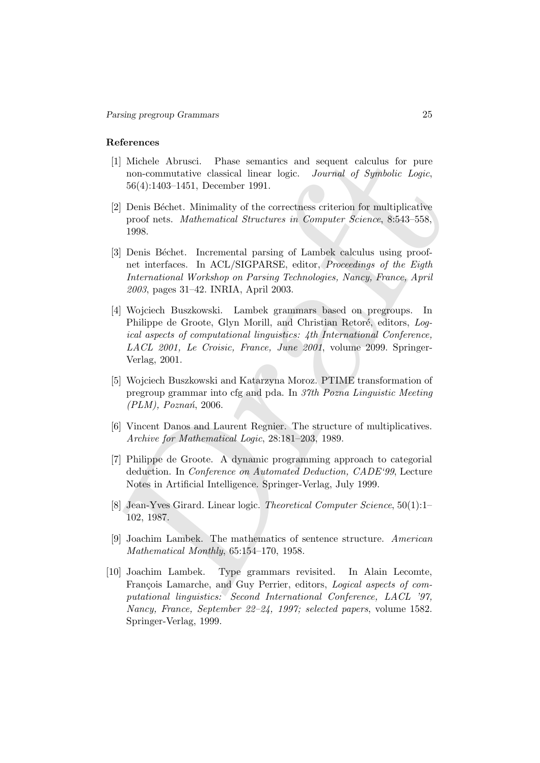#### References

- [1] Michele Abrusci. Phase semantics and sequent calculus for pure non-commutative classical linear logic. Journal of Symbolic Logic, 56(4):1403–1451, December 1991.
- [2] Denis Béchet. Minimality of the correctness criterion for multiplicative proof nets. Mathematical Structures in Computer Science, 8:543–558, 1998.
- [3] Denis Béchet. Incremental parsing of Lambek calculus using proofnet interfaces. In ACL/SIGPARSE, editor, Proceedings of the Eigth International Workshop on Parsing Technologies, Nancy, France, April 2003, pages 31–42. INRIA, April 2003.
- [1] Michele Abrusci. Phase semantics and sequent calculus for pure monecommutative classical linear logic. Journal of Symbolic Logic, 36(4):1403-1451, December 1991.<br>
[2] Denis Béchet. Minimality of the correctness criter [4] Wojciech Buszkowski. Lambek grammars based on pregroups. In Philippe de Groote, Glyn Morill, and Christian Retoré, editors, Logical aspects of computational linguistics: 4th International Conference, LACL 2001, Le Croisic, France, June 2001, volume 2099. Springer-Verlag, 2001.
- [5] Wojciech Buszkowski and Katarzyna Moroz. PTIME transformation of pregroup grammar into cfg and pda. In 37th Pozna Linguistic Meeting  $(PLM)$ , Poznań, 2006.
- [6] Vincent Danos and Laurent Regnier. The structure of multiplicatives. Archive for Mathematical Logic, 28:181–203, 1989.
- [7] Philippe de Groote. A dynamic programming approach to categorial deduction. In Conference on Automated Deduction, CADE'99, Lecture Notes in Artificial Intelligence. Springer-Verlag, July 1999.
- [8] Jean-Yves Girard. Linear logic. Theoretical Computer Science, 50(1):1– 102, 1987.
- [9] Joachim Lambek. The mathematics of sentence structure. American Mathematical Monthly, 65:154–170, 1958.
- [10] Joachim Lambek. Type grammars revisited. In Alain Lecomte, François Lamarche, and Guy Perrier, editors, Logical aspects of computational linguistics: Second International Conference, LACL '97, Nancy, France, September 22–24, 1997; selected papers, volume 1582. Springer-Verlag, 1999.